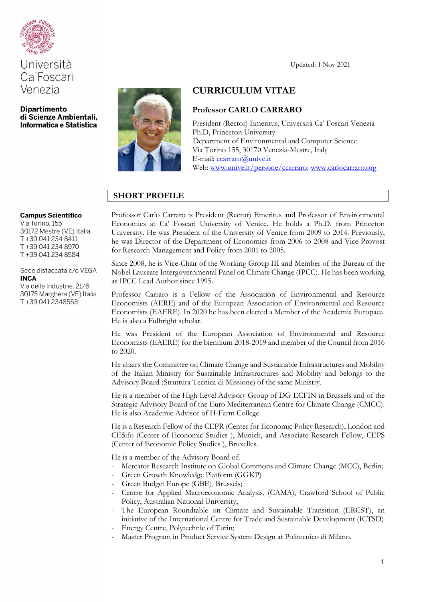

# Università Ca'Foscari Venezia

**Dipartimento** di Scienze Ambientali, Informatica e Statistica



# **CURRICULUM VITAE**

# **Professor CARLO CARRARO**

President (Rector) Emeritus, Università Ca' Foscari Venezia Ph.D, Princeton University Department of Environmental and Computer Science Via Torino 155, 30170 Venezia-Mestre, Italy E-mail: [ccarraro@unive.it](mailto:ccarraro@unive.it) Web: [www.unive.it/persone/ccarraro;](http://www.unive.it/persone/ccarraro) [www.carlocarraro.org](http://www.carlocarraro.org/)

# **SHORT PROFILE**

#### **Campus Scientifico**

Via Torino, 155 30172 Mestre (VE) Italia T+39 041 234 8411 T+39 041 234 8970 T+39 041 234 8584

Sede distaccata c/o VEGA **INCA** 

Via delle Industrie, 21/8 30175 Marghera (VE) Italia T+39 041 2348553

Professor Carlo Carraro is President (Rector) Emeritus and Professor of Environmental Economics at Ca' Foscari University of Venice. He holds a Ph.D. from Princeton University. He was President of the University of Venice from 2009 to 2014. Previously, he was Director of the Department of Economics from 2006 to 2008 and Vice-Provost for Research Management and Policy from 2001 to 2005.

Since 2008, he is Vice-Chair of the Working Group III and Member of the Bureau of the Nobel Laureate Intergovernmental Panel on Climate Change (IPCC). He has been working as IPCC Lead Author since 1995.

Professor Carraro is a Fellow of the Association of Environmental and Resource Economists (AERE) and of the European Association of Environmental and Resource Economists (EAERE). In 2020 he has been elected a Member of the Academia Europaea. He is also a Fulbright scholar.

He was President of the European Association of Environmental and Resource Economists (EAERE) for the biennium 2018-2019 and member of the Council from 2016 to 2020.

He chairs the Committee on Climate Change and Sustainable Infrastructures and Mobility of the Italian Ministry for Sustainable Infrastructures and Mobility and belongs to the Advisory Board (Struttura Tecnica di Missione) of the same Ministry.

He is a member of the High Level Advisory Group of DG ECFIN in Brussels and of the Strategic Advisory Board of the Euro Mediterranean Centre for Climate Change (CMCC). He is also Academic Advisor of H-Farm College.

He is a Research Fellow of the CEPR (Center for Economic Policy Research), London and CESifo (Center of Economic Studies ), Munich, and Associate Research Fellow, CEPS (Center of Economic Policy Studies ), Bruxelles.

He is a member of the Advisory Board of:

- Mercator Research Institute on Global Commons and Climate Change (MCC), Berlin;
- Green Growth Knowledge Platform (GGKP)
- Green Budget Europe (GBE), Brussels;
- Centre for Applied Macroeconomic Analysis, (CAMA), Crawford School of Public Policy, Australian National University;
- The European Roundtable on Climate and Sustainable Transition (ERCST), an initiative of the International Centre for Trade and Sustainable Development (ICTSD)
- Energy Centre, Polytechnic of Turin;
- Master Program in Product Service System Design at Politecnico di Milano.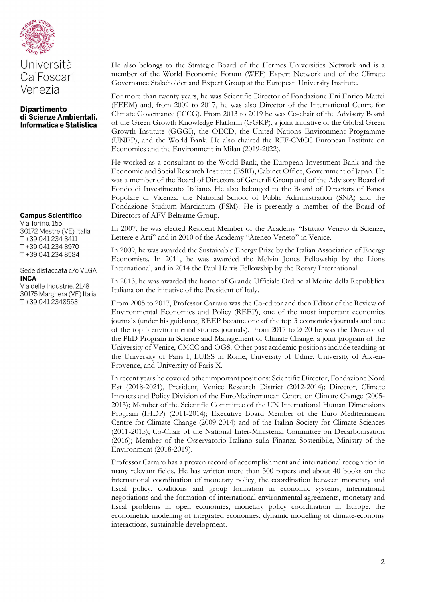

# Università Ca'Foscari Venezia

#### **Dipartimento** di Scienze Ambientali, Informatica e Statistica

#### **Campus Scientifico**

Via Torino, 155 30172 Mestre (VE) Italia T+39 041 234 8411 T+39 041 234 8970 T+39 041 234 8584

Sede distaccata c/o VEGA **INCA** 

Via delle Industrie, 21/8 30175 Marghera (VE) Italia T+39 041 2348553

He also belongs to the Strategic Board of the Hermes Universities Network and is a member of the World Economic Forum (WEF) Expert Network and of the Climate Governance Stakeholder and Expert Group at the European University Institute.

For more than twenty years, he was Scientific Director of Fondazione Eni Enrico Mattei (FEEM) and, from 2009 to 2017, he was also Director of the International Centre for Climate Governance (ICCG). From 2013 to 2019 he was Co-chair of the Advisory Board of the Green Growth Knowledge Platform (GGKP), a joint initiative of the Global Green Growth Institute (GGGI), the OECD, the United Nations Environment Programme (UNEP), and the World Bank. He also chaired the RFF-CMCC European Institute on Economics and the Environment in Milan (2019-2022).

He worked as a consultant to the World Bank, the European Investment Bank and the Economic and Social Research Institute (ESRI), Cabinet Office, Government of Japan. He was a member of the Board of Directors of Generali Group and of the Advisory Board of Fondo di Investimento Italiano. He also belonged to the Board of Directors of Banca Popolare di Vicenza, the National School of Public Administration (SNA) and the Fondazione Studium Marcianum (FSM). He is presently a member of the Board of Directors of AFV Beltrame Group.

In 2007, he was elected Resident Member of the Academy "Istituto Veneto di Scienze, Lettere e Arti" and in 2010 of the Academy "Ateneo Veneto" in Venice.

In 2009, he was awarded the Sustainable Energy Prize by the Italian Association of Energy Economists. In 2011, he was awarded the Melvin Jones Fellowship by the Lions International, and in 2014 the Paul Harris Fellowship by the Rotary International.

In 2013, he was awarded the honor of [Grande Ufficiale Ordine al Merito della Repubblica](http://www.quirinale.it/qrnw/statico/onorificenze/cennistorici/omri.htm)  [Italiana](http://www.quirinale.it/qrnw/statico/onorificenze/cennistorici/omri.htm) on the initiative of the President of Italy.

From 2005 to 2017, Professor Carraro was the Co-editor and then Editor of the Review of Environmental Economics and Policy (REEP), one of the most important economics journals (under his guidance, REEP became one of the top 3 economics journals and one of the top 5 environmental studies journals). From 2017 to 2020 he was the Director of the PhD Program in Science and Management of Climate Change, a joint program of the University of Venice, CMCC and OGS. Other past academic positions include teaching at the University of Paris I, LUISS in Rome, University of Udine, University of Aix-en-Provence, and University of Paris X.

In recent years he covered other important positions: Scientific Director, Fondazione Nord Est (2018-2021), President, Venice Research District (2012-2014); Director, Climate Impacts and Policy Division of the EuroMediterranean Centre on Climate Change (2005- 2013); Member of the Scientific Committee of the UN International Human Dimensions Program (IHDP) (2011-2014); Executive Board Member of the Euro Mediterranean Centre for Climate Change (2009-2014) and of the Italian Society for Climate Sciences (2011-2015); Co-Chair of the National Inter-Ministerial Committee on Decarbonisation (2016); Member of the Osservatorio Italiano sulla Finanza Sostenibile, Ministry of the Environment (2018-2019).

Professor Carraro has a proven record of accomplishment and international recognition in many relevant fields. He has written more than 300 papers and about 40 books on the international coordination of monetary policy, the coordination between monetary and fiscal policy, coalitions and group formation in economic systems, international negotiations and the formation of international environmental agreements, monetary and fiscal problems in open economies, monetary policy coordination in Europe, the econometric modelling of integrated economies, dynamic modelling of climate-economy interactions, sustainable development.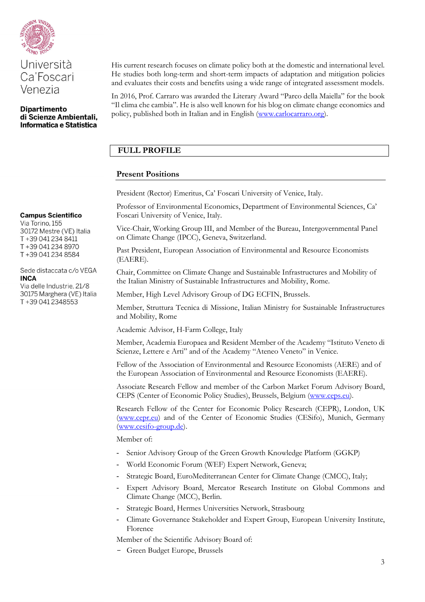



His current research focuses on climate policy both at the domestic and international level. He studies both long-term and short-term impacts of adaptation and mitigation policies and evaluates their costs and benefits using a wide range of integrated assessment models.

In 2016, Prof. Carraro was awarded the Literary Award "Parco della Maiella" for the book "Il clima che cambia". He is also well known for his blog on climate change economics and policy, published both in Italian and in English [\(www.carlocarraro.org\)](http://www.carlocarraro.org/).

# **FULL PROFILE**

# **Present Positions**

President (Rector) Emeritus, Ca' Foscari University of Venice, Italy.

Professor of Environmental Economics, Department of Environmental Sciences, Ca' Foscari University of Venice, Italy.

Vice-Chair, Working Group III, and Member of the Bureau, Intergovernmental Panel on Climate Change (IPCC), Geneva, Switzerland.

Past President, European Association of Environmental and Resource Economists (EAERE).

Chair, Committee on Climate Change and Sustainable Infrastructures and Mobility of the Italian Ministry of Sustainable Infrastructures and Mobility, Rome.

Member, High Level Advisory Group of DG ECFIN, Brussels.

Member, Struttura Tecnica di Missione, Italian Ministry for Sustainable Infrastructures and Mobility, Rome

Academic Advisor, H-Farm College, Italy

Member, Academia Europaea and Resident Member of the Academy "Istituto Veneto di Scienze, Lettere e Arti" and of the Academy "Ateneo Veneto" in Venice.

Fellow of the Association of Environmental and Resource Economists (AERE) and of the European Association of Environmental and Resource Economists (EAERE).

Associate Research Fellow and member of the Carbon Market Forum Advisory Board, CEPS (Center of Economic Policy Studies), Brussels, Belgium [\(www.ceps.eu\)](http://www.ceps.eu/).

Research Fellow of the Center for Economic Policy Research (CEPR), London, UK [\(www.cepr.eu\)](http://www.cepr.eu/) and of the Center of Economic Studies (CESifo), Munich, Germany [\(www.cesifo-group.de\)](http://www.cesifo-group.de/).

Member of:

- Senior Advisory Group of the Green Growth Knowledge Platform (GGKP)
- World Economic Forum (WEF) Expert Network, Geneva;
- Strategic Board, EuroMediterranean Center for Climate Change (CMCC), Italy;
- Expert Advisory Board, Mercator Research Institute on Global Commons and Climate Change (MCC), Berlin.
- Strategic Board, Hermes Universities Network, Strasbourg
- Climate Governance Stakeholder and Expert Group, European University Institute, Florence

Member of the Scientific Advisory Board of:

- Green Budget Europe, Brussels

Via Torino, 155 30172 Mestre (VE) Italia T+39 041 234 8411 T+39 041 234 8970 T+39 041 234 8584

Sede distaccata c/o VEGA **INCA** 

Via delle Industrie, 21/8 30175 Marghera (VE) Italia T+39 041 2348553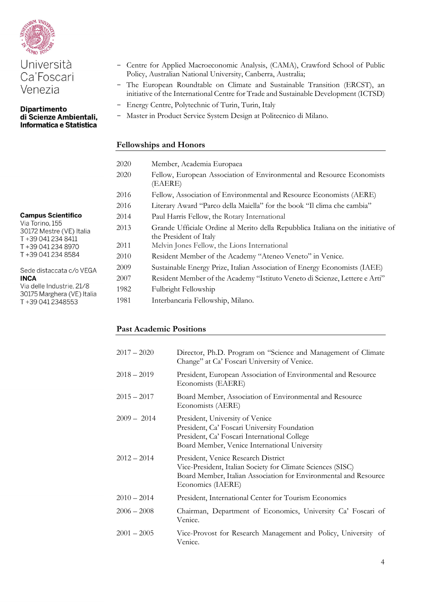

#### **Dipartimento** di Scienze Ambientali, Informatica e Statistica

- Centre for Applied Macroeconomic Analysis, (CAMA), Crawford School of Public Policy, Australian National University, Canberra, Australia;
- The European Roundtable on Climate and Sustainable Transition (ERCST), an initiative of the International Centre for Trade and Sustainable Development (ICTSD)
- Energy Centre, Polytechnic of Turin, Turin, Italy
- Master in Product Service System Design at Politecnico di Milano.

# **Fellowships and Honors**

| 2020 | Member, Academia Europaea                                                                                  |
|------|------------------------------------------------------------------------------------------------------------|
| 2020 | Fellow, European Association of Environmental and Resource Economists<br>(EAERE)                           |
| 2016 | Fellow, Association of Environmental and Resource Economists (AERE)                                        |
| 2016 | Literary Award "Parco della Maiella" for the book "Il clima che cambia"                                    |
| 2014 | Paul Harris Fellow, the Rotary International                                                               |
| 2013 | Grande Ufficiale Ordine al Merito della Repubblica Italiana on the initiative of<br>the President of Italy |
| 2011 | Melvin Jones Fellow, the Lions International                                                               |
| 2010 | Resident Member of the Academy "Ateneo Veneto" in Venice.                                                  |
| 2009 | Sustainable Energy Prize, Italian Association of Energy Economists (IAEE)                                  |
| 2007 | Resident Member of the Academy "Istituto Veneto di Scienze, Lettere e Arti"                                |
| 1982 | Fulbright Fellowship                                                                                       |
| 1981 | Interbancaria Fellowship, Milano.                                                                          |

# **Past Academic Positions**

| $2017 - 2020$ | Director, Ph.D. Program on "Science and Management of Climate                                                                                                                               |
|---------------|---------------------------------------------------------------------------------------------------------------------------------------------------------------------------------------------|
|               | Change" at Ca' Foscari University of Venice.                                                                                                                                                |
| $2018 - 2019$ | President, European Association of Environmental and Resource<br>Economists (EAERE)                                                                                                         |
| $2015 - 2017$ | Board Member, Association of Environmental and Resource<br>Economists (AERE)                                                                                                                |
| $2009 - 2014$ | President, University of Venice<br>President, Ca' Foscari University Foundation<br>President, Ca' Foscari International College<br>Board Member, Venice International University            |
| $2012 - 2014$ | President, Venice Research District<br>Vice-President, Italian Society for Climate Sciences (SISC)<br>Board Member, Italian Association for Environmental and Resource<br>Economics (IAERE) |
| $2010 - 2014$ | President, International Center for Tourism Economics                                                                                                                                       |
| $2006 - 2008$ | Chairman, Department of Economics, University Ca' Foscari of<br>Venice.                                                                                                                     |
| $2001 - 2005$ | Vice-Provost for Research Management and Policy, University of<br>Venice.                                                                                                                   |

| <b>Campus Scientifico</b>        |
|----------------------------------|
| Via Torino, 155                  |
| 30172 Mestre (VE) Italia         |
| T +39 041 234 8411               |
| T +39 041 234 8970               |
| T +39 041 234 8584               |
| Sede distaccata c/o VEGA<br>INCA |
| Via delle Industrie 21/8         |

Via delle Industrie, 21/8 30175 Marghera (VE) Italia T+39 041 2348553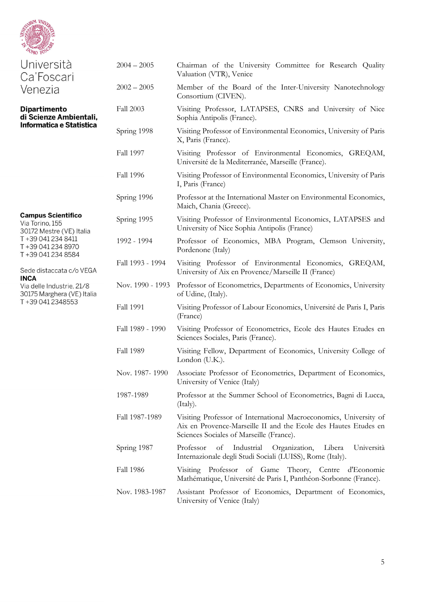

| Università<br>Ca'Foscari                                                 | $2004 - 2005$    | Chairman of the University Committee for Research Quality<br>Valuation (VTR), Venice                                                                                             |
|--------------------------------------------------------------------------|------------------|----------------------------------------------------------------------------------------------------------------------------------------------------------------------------------|
| Venezia                                                                  | $2002 - 2005$    | Member of the Board of the Inter-University Nanotechnology<br>Consortium (CIVEN).                                                                                                |
| <b>Dipartimento</b><br>di Scienze Ambientali,                            | <b>Fall 2003</b> | Visiting Professor, LATAPSES, CNRS and University of Nice<br>Sophia Antipolis (France).                                                                                          |
| Informatica e Statistica                                                 | Spring 1998      | Visiting Professor of Environmental Economics, University of Paris<br>X, Paris (France).                                                                                         |
|                                                                          | <b>Fall 1997</b> | Visiting Professor of Environmental Economics, GREQAM,<br>Université de la Mediterranée, Marseille (France).                                                                     |
|                                                                          | <b>Fall 1996</b> | Visiting Professor of Environmental Economics, University of Paris<br>I, Paris (France)                                                                                          |
|                                                                          | Spring 1996      | Professor at the International Master on Environmental Economics,<br>Maich, Chania (Greece).                                                                                     |
| <b>Campus Scientifico</b><br>Via Torino, 155<br>30172 Mestre (VE) Italia | Spring 1995      | Visiting Professor of Environmental Economics, LATAPSES and<br>University of Nice Sophia Antipolis (France)                                                                      |
| T +39 041 234 8411<br>T+39 041 234 8970<br>T +39 041 234 8584            | 1992 - 1994      | Professor of Economics, MBA Program, Clemson University,<br>Pordenone (Italy)                                                                                                    |
| Sede distaccata c/o VEGA                                                 | Fall 1993 - 1994 | Visiting Professor of Environmental Economics, GREQAM,<br>University of Aix en Provence/Marseille II (France)                                                                    |
| <b>INCA</b><br>Via delle Industrie, 21/8<br>30175 Marghera (VE) Italia   | Nov. 1990 - 1993 | Professor of Econometrics, Departments of Economics, University<br>of Udine, (Italy).                                                                                            |
| T+39 041 2348553                                                         | <b>Fall 1991</b> | Visiting Professor of Labour Economics, Université de Paris I, Paris<br>(France)                                                                                                 |
|                                                                          | Fall 1989 - 1990 | Visiting Professor of Econometrics, Ecole des Hautes Etudes en<br>Sciences Sociales, Paris (France).                                                                             |
|                                                                          | <b>Fall 1989</b> | Visiting Fellow, Department of Economics, University College of<br>London $(U.K.)$ .                                                                                             |
|                                                                          | Nov. 1987-1990   | Associate Professor of Econometrics, Department of Economics,<br>University of Venice (Italy)                                                                                    |
|                                                                          | 1987-1989        | Professor at the Summer School of Econometrics, Bagni di Lucca,<br>(Italy).                                                                                                      |
|                                                                          | Fall 1987-1989   | Visiting Professor of International Macroeconomics, University of<br>Aix en Provence-Marseille II and the Ecole des Hautes Etudes en<br>Sciences Sociales of Marseille (France). |
|                                                                          | Spring 1987      | Professor<br>Industrial<br>Organization,<br>Libera<br>Università<br>of<br>Internazionale degli Studi Sociali (LUISS), Rome (Italy).                                              |
|                                                                          | <b>Fall 1986</b> | Visiting Professor of Game Theory, Centre d'Economie<br>Mathématique, Université de Paris I, Panthéon-Sorbonne (France).                                                         |
|                                                                          | Nov. 1983-1987   | Assistant Professor of Economics, Department of Economics,<br>University of Venice (Italy)                                                                                       |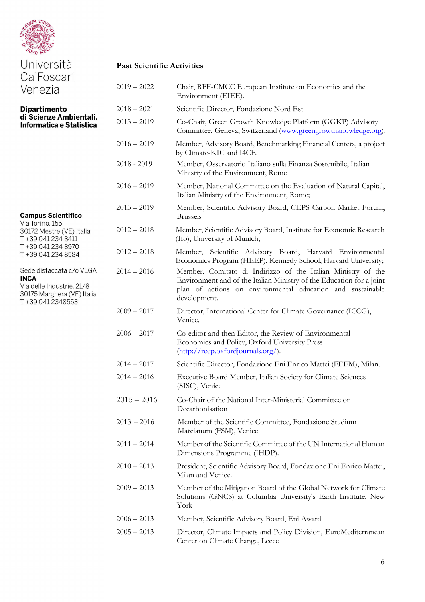

| Università                                                                                                             | <b>Past Scientific Activities</b> |                                                                                                                                                                                                                    |  |
|------------------------------------------------------------------------------------------------------------------------|-----------------------------------|--------------------------------------------------------------------------------------------------------------------------------------------------------------------------------------------------------------------|--|
| Ca'Foscari<br>Venezia                                                                                                  | $2019 - 2022$                     | Chair, RFF-CMCC European Institute on Economics and the<br>Environment (EIEE).                                                                                                                                     |  |
| <b>Dipartimento</b><br>di Scienze Ambientali,<br>Informatica e Statistica                                              | $2018 - 2021$                     | Scientific Director, Fondazione Nord Est                                                                                                                                                                           |  |
|                                                                                                                        | $2013 - 2019$                     | Co-Chair, Green Growth Knowledge Platform (GGKP) Advisory<br>Committee, Geneva, Switzerland (www.greengrowthknowledge.org).                                                                                        |  |
|                                                                                                                        | $2016 - 2019$                     | Member, Advisory Board, Benchmarking Financial Centers, a project<br>by Climate-KIC and I4CE.                                                                                                                      |  |
|                                                                                                                        | $2018 - 2019$                     | Member, Osservatorio Italiano sulla Finanza Sostenibile, Italian<br>Ministry of the Environment, Rome                                                                                                              |  |
|                                                                                                                        | $2016 - 2019$                     | Member, National Committee on the Evaluation of Natural Capital,<br>Italian Ministry of the Environment, Rome;                                                                                                     |  |
| <b>Campus Scientifico</b>                                                                                              | $2013 - 2019$                     | Member, Scientific Advisory Board, CEPS Carbon Market Forum,<br><b>Brussels</b>                                                                                                                                    |  |
| Via Torino, 155<br>30172 Mestre (VE) Italia<br>T+39 041 234 8411                                                       | $2012 - 2018$                     | Member, Scientific Advisory Board, Institute for Economic Research<br>(Ifo), University of Munich;                                                                                                                 |  |
| T+39 041 234 8970<br>T+39 041 234 8584                                                                                 | $2012 - 2018$                     | Member, Scientific Advisory Board, Harvard Environmental<br>Economics Program (HEEP), Kennedy School, Harvard University;                                                                                          |  |
| Sede distaccata c/o VEGA<br><b>INCA</b><br>Via delle Industrie, 21/8<br>30175 Marghera (VE) Italia<br>T+39 041 2348553 | $2014 - 2016$                     | Member, Comitato di Indirizzo of the Italian Ministry of the<br>Environment and of the Italian Ministry of the Education for a joint<br>plan of actions on environmental education and sustainable<br>development. |  |
|                                                                                                                        | $2009 - 2017$                     | Director, International Center for Climate Governance (ICCG),<br>Venice.                                                                                                                                           |  |
|                                                                                                                        | $2006 - 2017$                     | Co-editor and then Editor, the Review of Environmental<br>Economics and Policy, Oxford University Press<br>$(\frac{http://reep.oxfordjournals.org/}{$ .                                                            |  |
|                                                                                                                        | $2014 - 2017$                     | Scientific Director, Fondazione Eni Enrico Mattei (FEEM), Milan.                                                                                                                                                   |  |
|                                                                                                                        | $2014 - 2016$                     | Executive Board Member, Italian Society for Climate Sciences<br>(SISC), Venice                                                                                                                                     |  |
|                                                                                                                        | $2015 - 2016$                     | Co-Chair of the National Inter-Ministerial Committee on<br>Decarbonisation                                                                                                                                         |  |
|                                                                                                                        | $2013 - 2016$                     | Member of the Scientific Committee, Fondazione Studium<br>Marcianum (FSM), Venice.                                                                                                                                 |  |
|                                                                                                                        | $2011 - 2014$                     | Member of the Scientific Committee of the UN International Human<br>Dimensions Programme (IHDP).                                                                                                                   |  |
|                                                                                                                        | $2010 - 2013$                     | President, Scientific Advisory Board, Fondazione Eni Enrico Mattei,<br>Milan and Venice.                                                                                                                           |  |
|                                                                                                                        | $2009 - 2013$                     | Member of the Mitigation Board of the Global Network for Climate<br>Solutions (GNCS) at Columbia University's Earth Institute, New<br>York                                                                         |  |
|                                                                                                                        | $2006 - 2013$                     | Member, Scientific Advisory Board, Eni Award                                                                                                                                                                       |  |
|                                                                                                                        | $2005 - 2013$                     | Director, Climate Impacts and Policy Division, EuroMediterranean<br>Center on Climate Change, Lecce                                                                                                                |  |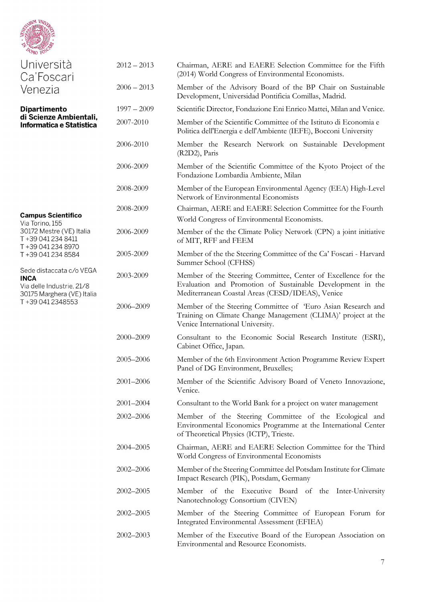| <b>ARVM VAVTE</b><br>$O_{MO}$ FO.                                                                  |               |                                                                                                                                                                                  |
|----------------------------------------------------------------------------------------------------|---------------|----------------------------------------------------------------------------------------------------------------------------------------------------------------------------------|
| Università<br>Ca'Foscari                                                                           | $2012 - 2013$ | Chairman, AERE and EAERE Selection Committee for the Fifth<br>(2014) World Congress of Environmental Economists.                                                                 |
| Venezia                                                                                            | $2006 - 2013$ | Member of the Advisory Board of the BP Chair on Sustainable<br>Development, Universidad Pontificia Comillas, Madrid.                                                             |
| <b>Dipartimento</b>                                                                                | $1997 - 2009$ | Scientific Director, Fondazione Eni Enrico Mattei, Milan and Venice.                                                                                                             |
| di Scienze Ambientali,<br>Informatica e Statistica                                                 | 2007-2010     | Member of the Scientific Committee of the Istituto di Economia e<br>Politica dell'Energia e dell'Ambiente (IEFE), Bocconi University                                             |
|                                                                                                    | 2006-2010     | Member the Research Network on Sustainable Development<br>(R2D2), Paris                                                                                                          |
|                                                                                                    | 2006-2009     | Member of the Scientific Committee of the Kyoto Project of the<br>Fondazione Lombardia Ambiente, Milan                                                                           |
|                                                                                                    | 2008-2009     | Member of the European Environmental Agency (EEA) High-Level<br>Network of Environmental Economists                                                                              |
| <b>Campus Scientifico</b><br>Via Torino, 155                                                       | 2008-2009     | Chairman, AERE and EAERE Selection Committee for the Fourth<br>World Congress of Environmental Economists.                                                                       |
| 30172 Mestre (VE) Italia<br>T +39 041 234 8411<br>T+39 041 234 8970                                | 2006-2009     | Member of the the Climate Policy Network (CPN) a joint initiative<br>of MIT, RFF and FEEM                                                                                        |
| T+39 041 234 8584                                                                                  | 2005-2009     | Member of the the Steering Committee of the Ca' Foscari - Harvard<br>Summer School (CFHSS)                                                                                       |
| Sede distaccata c/o VEGA<br><b>INCA</b><br>Via delle Industrie, 21/8<br>30175 Marghera (VE) Italia | 2003-2009     | Member of the Steering Committee, Center of Excellence for the<br>Evaluation and Promotion of Sustainable Development in the<br>Mediterranean Coastal Areas (CESD/IDEAS), Venice |
| T+39 041 2348553                                                                                   | 2006-2009     | Member of the Steering Committee of 'Euro Asian Research and<br>Training on Climate Change Management (CLIMA)' project at the<br>Venice International University.                |
|                                                                                                    | 2000-2009     | Consultant to the Economic Social Research Institute (ESRI),<br>Cabinet Office, Japan.                                                                                           |
|                                                                                                    | 2005-2006     | Member of the 6th Environment Action Programme Review Expert<br>Panel of DG Environment, Bruxelles;                                                                              |
|                                                                                                    | 2001-2006     | Member of the Scientific Advisory Board of Veneto Innovazione,<br>Venice.                                                                                                        |
|                                                                                                    | 2001-2004     | Consultant to the World Bank for a project on water management                                                                                                                   |
|                                                                                                    | 2002-2006     | Member of the Steering Committee of the Ecological and<br>Environmental Economics Programme at the International Center<br>of Theoretical Physics (ICTP), Trieste.               |
|                                                                                                    | 2004-2005     | Chairman, AERE and EAERE Selection Committee for the Third<br>World Congress of Environmental Economists                                                                         |
|                                                                                                    | 2002-2006     | Member of the Steering Committee del Potsdam Institute for Climate<br>Impact Research (PIK), Potsdam, Germany                                                                    |
|                                                                                                    | 2002-2005     | Member of the Executive Board of the Inter-University<br>Nanotechnology Consortium (CIVEN)                                                                                       |
|                                                                                                    | 2002-2005     | Member of the Steering Committee of European Forum for<br>Integrated Environmental Assessment (EFIEA)                                                                            |
|                                                                                                    | 2002-2003     | Member of the Executive Board of the European Association on<br>Environmental and Resource Economists.                                                                           |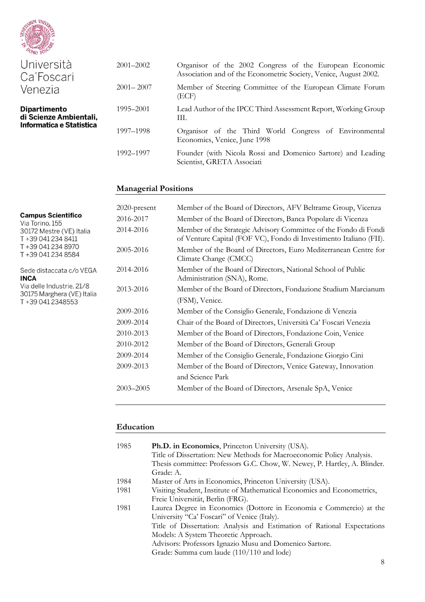

**Campus Scientifico** Via Torino, 155

T+39 041 234 8411 T+39 041 234 8970 T+39 041 234 8584

T+39 041 2348553

**INCA** 

| Università<br>Ca'Foscari                      | $2001 - 2002$ | Organisor of the 2002 Congress of the European Economic<br>Association and of the Econometric Society, Venice, August 2002. |
|-----------------------------------------------|---------------|-----------------------------------------------------------------------------------------------------------------------------|
| Venezia                                       | $2001 - 2007$ | Member of Steering Committee of the European Climate Forum<br>(ECF)                                                         |
| <b>Dipartimento</b><br>di Scienze Ambientali, | 1995–2001     | Lead Author of the IPCC Third Assessment Report, Working Group<br>HI.                                                       |
| Informatica e Statistica                      | 1997–1998     | Organisor of the Third World Congress of Environmental<br>Economics, Venice, June 1998                                      |
|                                               | 1992-1997     | Founder (with Nicola Rossi and Domenico Sartore) and Leading<br>Scientist, GRETA Associati                                  |

#### **Managerial Positions**

## 2020-present Member of the Board of Directors, AFV Beltrame Group, Vicenza 2016-2017 Member of the Board of Directors, Banca Popolare di Vicenza 2014-2016 Member of the Strategic Advisory Committee of the Fondo di Fondi 30172 Mestre (VE) Italia of Venture Capital (FOF VC), Fondo di Investimento Italiano (FII). 2005-2016 Member of the Board of Directors, Euro Mediterranean Centre for Climate Change (CMCC) 2014-2016 Member of the Board of Directors, National School of Public Sede distaccata c/o VEGA Administration (SNA), Rome. Via delle Industrie, 21/8 2013-2016 Member of the Board of Directors, Fondazione Studium Marcianum 30175 Marghera (VE) Italia (FSM), Venice. 2009-2016 Member of the Consiglio Generale, Fondazione di Venezia 2009-2014 Chair of the Board of Directors, Università Ca' Foscari Venezia 2010-2013 Member of the Board of Directors, Fondazione Coin, Venice 2010-2012 Member of the Board of Directors, Generali Group 2009-2014 Member of the Consiglio Generale, Fondazione Giorgio Cini 2009-2013 Member of the Board of Directors, Venice Gateway, Innovation and Science Park 2003–2005 Member of the Board of Directors, Arsenale SpA, Venice

#### **Education**

| 1985 | <b>Ph.D. in Economics</b> , Princeton University (USA).                   |
|------|---------------------------------------------------------------------------|
|      | Title of Dissertation: New Methods for Macroeconomic Policy Analysis.     |
|      | Thesis committee: Professors G.C. Chow, W. Newey, P. Hartley, A. Blinder. |
|      | Grade: A.                                                                 |
| 1984 | Master of Arts in Economics, Princeton University (USA).                  |
| 1981 | Visiting Student, Institute of Mathematical Economics and Econometrics,   |
|      | Freie Universität, Berlin (FRG).                                          |
| 1981 | Laurea Degree in Economics (Dottore in Economia e Commercio) at the       |
|      | University "Ca' Foscari" of Venice (Italy).                               |
|      | Title of Dissertation: Analysis and Estimation of Rational Expectations   |
|      | Models: A System Theoretic Approach.                                      |
|      | Advisors: Professors Ignazio Musu and Domenico Sartore.                   |
|      | Grade: Summa cum laude (110/110 and lode)                                 |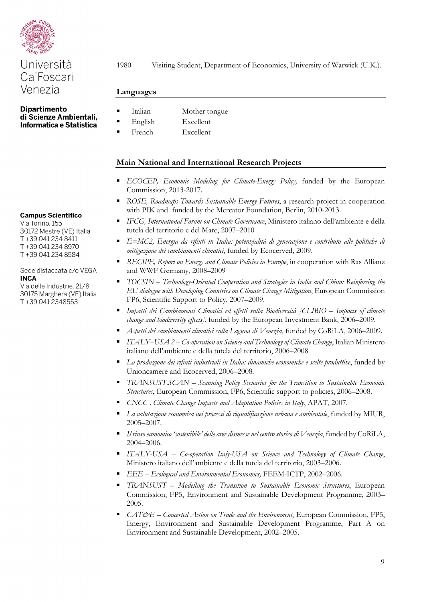

**Dipartimento** di Scienze Ambientali, Informatica e Statistica

**Campus Scientifico** 

Via Torino, 155 30172 Mestre (VE) Italia T+39 041 234 8411 T+39 041 234 8970 T+39 041 234 8584

Sede distaccata c/o VEGA **INCA** 

Via delle Industrie, 21/8 30175 Marghera (VE) Italia T+39 041 2348553

1980 Visiting Student, Department of Economics, University of Warwick (U.K.).

#### **Languages**

- Italian Mother tongue
- English Excellent
- French Excellent

# **Main National and International Research Projects**

- *ECOCEP, Economic Modeling for Climate-Energy Policy, funded by the European* Commission, 2013-2017.
- *ROSE, Roadmaps Towards Sustainable Energy Futures*, a research project in cooperation with PIK and funded by the Mercator Foundation, Berlin, 2010-2013.
- *IFCG, International Forum on Climate Governance*, Ministero italiano dell'ambiente e della tutela del territorio e del Mare, 2007–2010
- *E=MC2, Energia da rifiuti in Italia: potenzialità di generazione e contributo alle politiche di mitigazione dei cambiamenti climatici*, funded by Ecocerved, 2009.
- **RECIPE, Report on Energy and Climate Policies in Europe, in cooperation with Ras Allianz** and WWF Germany, 2008–2009
- *TOCSIN – Technology-Oriented Cooperation and Strategies in India and China: Reinforcing the EU dialogue with Developing Countries on Climate Change Mitigation*, European Commission FP6, Scientific Support to Policy, 2007–2009.
- *Impatti dei Cambiamenti Climatici ed effetti sulla Biodiversità [CLIBIO – Impacts of climate change and biodiversity effects]*, funded by the European Investment Bank, 2006–2009.
- *Aspetti dei cambiamenti climatici sulla Laguna di Venezia*, funded by CoRiLA, 2006–2009.
- *ITALY–USA 2 – Co-operation on Science and Technology of Climate Change*, Italian Ministero italiano dell'ambiente e della tutela del territorio, 2006–2008
- *La produzione dei rifiuti industriali in Italia: dinamiche economiche e scelte produttive*, funded by Unioncamere and Ecocerved, 2006–2008.
- *TRANSUST.SCAN – Scanning Policy Scenarios for the Transition to Sustainable Economic Structures*, European Commission, FP6, Scientific support to policies, 2006–2008.
- *CNCC , Climate Change Impacts and Adaptation Policies in Italy*, APAT, 2007.
- **La valutazione economica nei processi di riqualificazione urbana e ambientale, funded by MIUR,** 2005–2007.
- *Il riuso economico 'sostenibile' delle aree dismesse nel centro storico di Venezia*, funded by CoRiLA, 2004–2006.
- *ITALY-USA – Co-operation Italy-USA on Science and Technology of Climate Change*, Ministero italiano dell'ambiente e della tutela del territorio, 2003–2006.
- *EEE – Ecological and Environmental Economics,* FEEM-ICTP, 2002–2006.
- *TRANSUST – Modelling the Transition to Sustainable Economic Structures*, European Commission, FP5, Environment and Sustainable Development Programme, 2003– 2005.
- *CAT&E – Concerted Action on Trade and the Environment*, European Commission, FP5, Energy, Environment and Sustainable Development Programme, Part A on Environment and Sustainable Development, 2002–2005.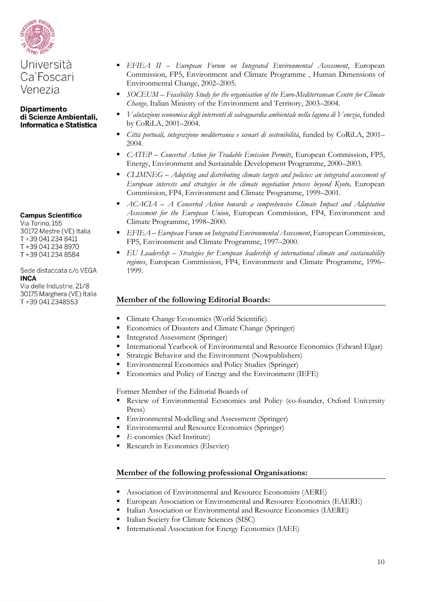

#### **Dipartimento** di Scienze Ambientali, Informatica e Statistica

#### **Campus Scientifico**

Via Torino, 155 30172 Mestre (VE) Italia T+39 041 234 8411 T+39 041 234 8970 T+39 041 234 8584

#### Sede distaccata c/o VEGA **INCA**

Via delle Industrie, 21/8 30175 Marghera (VE) Italia T+39 041 2348553

- *EFIEA II – European Forum on Integrated Environmental Assessment*, European Commission, FP5, Environment and Climate Programme , Human Dimensions of Environmental Change, 2002–2005.
- *SOCEUM – Feasibility Study for the organisation of the Euro-Mediterranean Centre for Climate Change,* Italian Ministry of the Environment and Territory, 2003–2004.
- *Valutazione economica degli interventi di salvaguardia ambientale nella laguna di Venezia*, funded by CoRiLA, 2001–2004.
- *Città portuali, integrazione mediterranea e scenari di sostenibilità*, funded by CoRiLA, 2001– 2004.
- *CATEP – Concerted Action for Tradable Emission Permits*, European Commission, FP5, Energy, Environment and Sustainable Development Programme, 2000–2003.
- *CLIMNEG – Adopting and distributing climate targets and policies: an integrated assessment of European interests and strategies in the climate negotiation process beyond Kyoto, European* Commission, FP4, Environment and Climate Programme, 1999–2001.
- *ACACIA – A Concerted Action towards a comprehensive Climate Impact and Adaptation Assessment for the European Union*, European Commission, FP4, Environment and Climate Programme, 1998–2000.
- *EFIEA – European Forum on Integrated Environmental Assessment*, European Commission, FP5, Environment and Climate Programme, 1997–2000.
- *EU Leadership – Strategies for European leadership of international climate and sustainability regimes*, European Commission, FP4, Environment and Climate Programme, 1996– 1999.

# **Member of the following Editorial Boards:**

- Climate Change Economics (World Scientific)
- **Economics of Disasters and Climate Change (Springer)**
- Integrated Assessment (Springer)
- International Yearbook of Environmental and Resource Economics (Edward Elgar)
- Strategic Behavior and the Environment (Nowpublishers)
- Environmental Economics and Policy Studies (Springer)
- Economics and Policy of Energy and the Environment (IEFE)

Former Member of the Editorial Boards of

- Review of Environmental Economics and Policy (co-founder, Oxford University Press)
- Environmental Modelling and Assessment (Springer)
- Environmental and Resource Economics (Springer)
- *E*-conomics (Kiel Institute)
- Research in Economics (Elsevier)

# **Member of the following professional Organisations:**

- Association of Environmental and Resource Economists (AERE)
- European Association or Environmental and Resource Economics (EAERE)
- Italian Association or Environmental and Resource Economics (IAERE)
- Italian Society for Climate Sciences (SISC)
- International Association for Energy Economics (IAEE)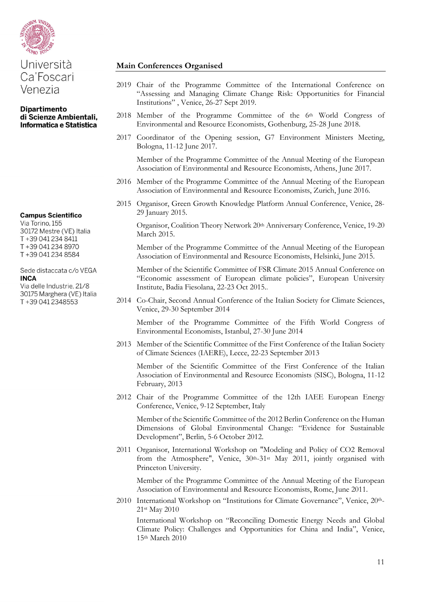

# Università Ca'Foscari Venezia

#### **Dipartimento** di Scienze Ambientali, Informatica e Statistica

**Campus Scientifico** 

Via Torino, 155 30172 Mestre (VE) Italia T+39 041 234 8411 T+39 041 234 8970 T+39 041 234 8584

#### Sede distaccata c/o VEGA **INCA**

Via delle Industrie, 21/8 30175 Marghera (VE) Italia T+39 041 2348553

# **Main Conferences Organised**

- 2019 Chair of the Programme Committee of the International Conference on "Assessing and Managing Climate Change Risk: Opportunities for Financial Institutions" , Venice, 26-27 Sept 2019.
- 2018 Member of the Programme Committee of the 6th World Congress of Environmental and Resource Economists, Gothenburg, 25-28 June 2018.
- 2017 Coordinator of the Opening session, G7 Environment Ministers Meeting, Bologna, 11-12 June 2017.

Member of the Programme Committee of the Annual Meeting of the European Association of Environmental and Resource Economists, Athens, June 2017.

- 2016 Member of the Programme Committee of the Annual Meeting of the European Association of Environmental and Resource Economists, Zurich, June 2016.
- 2015 Organisor, Green Growth Knowledge Platform Annual Conference, Venice, 28- 29 January 2015.

Organisor, Coalition Theory Network 20th Anniversary Conference, Venice, 19-20 March 2015.

Member of the Programme Committee of the Annual Meeting of the European Association of Environmental and Resource Economists, Helsinki, June 2015.

Member of the Scientific Committee of FSR Climate 2015 Annual Conference on "Economic assessment of European climate policies", European University Institute, Badia Fiesolana, 22-23 Oct 2015..

2014 Co-Chair, Second Annual Conference of the Italian Society for Climate Sciences, Venice, 29-30 September 2014

Member of the Programme Committee of the Fifth World Congress of Environmental Economists, Istanbul, 27-30 June 2014

2013 Member of the Scientific Committee of the First Conference of the Italian Society of Climate Sciences (IAERE), Lecce, 22-23 September 2013

 Member of the Scientific Committee of the First Conference of the Italian Association of Environmental and Resource Economists (SISC), Bologna, 11-12 February, 2013

2012 Chair of the Programme Committee of the 12th IAEE European Energy Conference, Venice, 9-12 September, Italy

 Member of the Scientific Committee of the 2012 Berlin Conference on the Human Dimensions of Global Environmental Change: "Evidence for Sustainable Development", Berlin, 5-6 October 2012.

2011 Organisor, International Workshop on "Modeling and Policy of CO2 Removal from the Atmosphere", Venice, 30th-31st May 2011, jointly organised with Princeton University.

Member of the Programme Committee of the Annual Meeting of the European Association of Environmental and Resource Economists, Rome, June 2011.

2010 [International Workshop on "Institutions for Climate Governance"](http://www.iccgov.org/workshop_institutions_for_climate_governance.htm), Venice, 20th-21st May 2010

[International Workshop on "Reconciling Domestic Energy Needs and Global](http://www.iccgov.org/workshop_INEA_2010.htm)  [Climate Policy: Challenges and Opportunities for China and India"](http://www.iccgov.org/workshop_INEA_2010.htm), Venice, 15th March 2010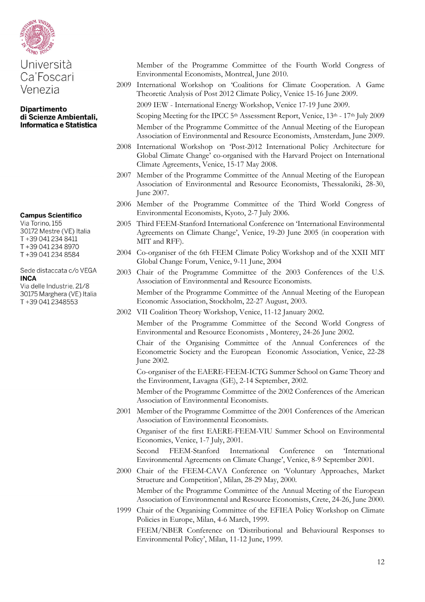

#### **Campus Scientifico**

Via Torino, 155 30172 Mestre (VE) Italia T+39 041 234 8411 T+39 041 234 8970 T+39 041 234 8584

Sede distaccata c/o VEGA **INCA** 

Via delle Industrie, 21/8 30175 Marghera (VE) Italia T+39 041 2348553

Member of the Programme Committee of the Fourth World Congress of Environmental Economists, Montreal, June 2010.

- 2009 International Workshop on 'Coalitions for Climate Cooperation. A Game Theoretic Analysis of Post 2012 Climate Policy, Venice 15-16 June 2009.
	- 2009 IEW International Energy Workshop, Venice 17-19 June 2009.
	- Scoping Meeting for the IPCC 5<sup>th</sup> Assessment Report, Venice, 13<sup>th</sup> 17<sup>th</sup> July 2009 Member of the Programme Committee of the Annual Meeting of the European Association of Environmental and Resource Economists, Amsterdam, June 2009.
- 2008 International Workshop on 'Post-2012 International Policy Architecture for Global Climate Change' co-organised with the Harvard Project on International Climate Agreements, Venice, 15-17 May 2008.
- 2007 Member of the Programme Committee of the Annual Meeting of the European Association of Environmental and Resource Economists, Thessaloniki, 28-30, June 2007.
- 2006 Member of the Programme Committee of the Third World Congress of Environmental Economists, Kyoto, 2-7 July 2006.
- 2005 Third FEEM-Stanford International Conference on 'International Environmental Agreements on Climate Change', Venice, 19-20 June 2005 (in cooperation with MIT and RFF).
- 2004 Co-organiser of the 6th FEEM Climate Policy Workshop and of the XXII MIT Global Change Forum, Venice, 9-11 June, 2004
- 2003 Chair of the Programme Committee of the 2003 Conferences of the U.S. Association of Environmental and Resource Economists.

Member of the Programme Committee of the Annual Meeting of the European Economic Association, Stockholm, 22-27 August, 2003.

2002 VII Coalition Theory Workshop, Venice, 11-12 January 2002.

Member of the Programme Committee of the Second World Congress of Environmental and Resource Economists , Monterey, 24-26 June 2002.

Chair of the Organising Committee of the Annual Conferences of the Econometric Society and the European Economic Association, Venice, 22-28 June 2002.

Co-organiser of the EAERE-FEEM-ICTG Summer School on Game Theory and the Environment, Lavagna (GE), 2-14 September, 2002.

Member of the Programme Committee of the 2002 Conferences of the American Association of Environmental Economists.

2001 Member of the Programme Committee of the 2001 Conferences of the American Association of Environmental Economists.

Organiser of the first EAERE-FEEM-VIU Summer School on Environmental Economics, Venice, 1-7 July, 2001.

Second FEEM-Stanford International Conference on 'International Environmental Agreements on Climate Change', Venice, 8-9 September 2001.

- 2000 Chair of the FEEM-CAVA Conference on 'Voluntary Approaches, Market Structure and Competition', Milan, 28-29 May, 2000. Member of the Programme Committee of the Annual Meeting of the European Association of Environmental and Resource Economists, Crete, 24-26, June 2000.
- 1999 Chair of the Organising Committee of the EFIEA Policy Workshop on Climate Policies in Europe, Milan, 4-6 March, 1999.

FEEM/NBER Conference on 'Distributional and Behavioural Responses to Environmental Policy', Milan, 11-12 June, 1999.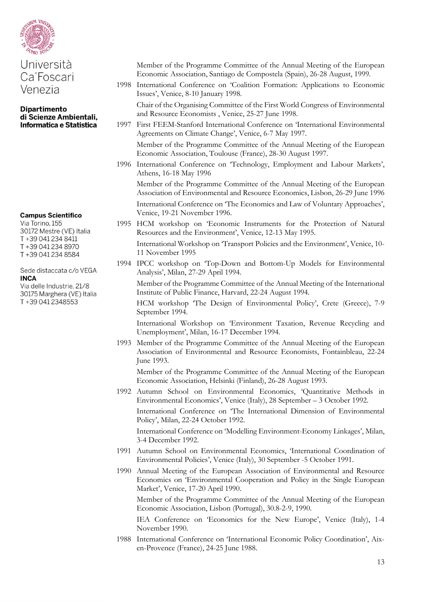

#### **Dipartimento** di Scienze Ambientali, Informatica e Statistica

#### **Campus Scientifico**

Via Torino, 155 30172 Mestre (VE) Italia T+39 041 234 8411 T+39 041 234 8970 T+39 041 234 8584

#### Sede distaccata c/o VEGA **INCA**

Via delle Industrie, 21/8 30175 Marghera (VE) Italia T+39 041 2348553

- Member of the Programme Committee of the Annual Meeting of the European Economic Association, Santiago de Compostela (Spain), 26-28 August, 1999.
- 1998 International Conference on 'Coalition Formation: Applications to Economic Issues', Venice, 8-10 January 1998.

Chair of the Organising Committee of the First World Congress of Environmental and Resource Economists , Venice, 25-27 June 1998.

1997 First FEEM-Stanford International Conference on 'International Environmental Agreements on Climate Change', Venice, 6-7 May 1997. Member of the Programme Committee of the Annual Meeting of the European

Economic Association, Toulouse (France), 28-30 August 1997.

1996 International Conference on 'Technology, Employment and Labour Markets', Athens, 16-18 May 1996

Member of the Programme Committee of the Annual Meeting of the European Association of Environmental and Resource Economics, Lisbon, 26-29 June 1996 International Conference on 'The Economics and Law of Voluntary Approaches', Venice, 19-21 November 1996.

1995 HCM workshop on 'Economic Instruments for the Protection of Natural Resources and the Environment', Venice, 12-13 May 1995.

International Workshop on 'Transport Policies and the Environment', Venice, 10- 11 November 1995

1994 IPCC workshop on 'Top-Down and Bottom-Up Models for Environmental Analysis', Milan, 27-29 April 1994.

Member of the Programme Committee of the Annual Meeting of the International Institute of Public Finance, Harvard, 22-24 August 1994.

HCM workshop 'The Design of Environmental Policy', Crete (Greece), 7-9 September 1994.

International Workshop on 'Environment Taxation, Revenue Recycling and Unemployment', Milan, 16-17 December 1994.

1993 Member of the Programme Committee of the Annual Meeting of the European Association of Environmental and Resource Economists, Fontainbleau, 22-24 June 1993.

Member of the Programme Committee of the Annual Meeting of the European Economic Association, Helsinki (Finland), 26-28 August 1993.

1992 Autumn School on Environmental Economics, 'Quantitative Methods in Environmental Economics', Venice (Italy), 28 September – 3 October 1992.

International Conference on 'The International Dimension of Environmental Policy', Milan, 22-24 October 1992.

International Conference on 'Modelling Environment-Economy Linkages', Milan, 3-4 December 1992.

1991 Autumn School on Environmental Economics, 'International Coordination of Environmental Policies', Venice (Italy), 30 September -5 October 1991.

1990 Annual Meeting of the European Association of Environmental and Resource Economics on 'Environmental Cooperation and Policy in the Single European Market', Venice, 17-20 April 1990.

Member of the Programme Committee of the Annual Meeting of the European Economic Association, Lisbon (Portugal), 30.8-2-9, 1990.

IEA Conference on 'Economics for the New Europe', Venice (Italy), 1-4 November 1990.

1988 International Conference on 'International Economic Policy Coordination', Aixen-Provence (France), 24-25 June 1988.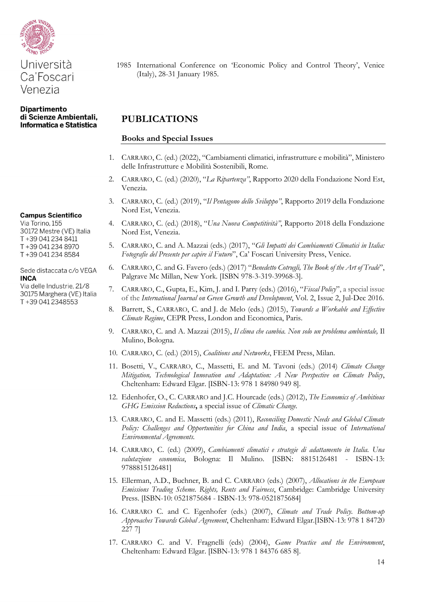

#### **Campus Scientifico**

Via Torino, 155 30172 Mestre (VE) Italia T+39 041 234 8411 T+39 041 234 8970 T+39 041 234 8584

Sede distaccata c/o VEGA **INCA** 

Via delle Industrie, 21/8 30175 Marghera (VE) Italia T+39 041 2348553

1985 International Conference on 'Economic Policy and Control Theory', Venice (Italy), 28-31 January 1985.

# **PUBLICATIONS**

#### **Books and Special Issues**

- 1. CARRARO, C. (ed.) (2022), "Cambiamenti climatici, infrastrutture e mobilità", Ministero delle Infrastrutture e Mobilità Sostenibili, Rome.
- 2. CARRARO, C. (ed.) (2020), "*La Ripartenza"*, Rapporto 2020 della Fondazione Nord Est, Venezia.
- 3. CARRARO, C. (ed.) (2019), "*Il Pentagono dello Sviluppo"*, Rapporto 2019 della Fondazione Nord Est, Venezia.
- 4. CARRARO, C. (ed.) (2018), "*Una Nuova Competitività"*, Rapporto 2018 della Fondazione Nord Est, Venezia.
- 5. CARRARO, C. and A. Mazzai (eds.) (2017), "*Gli Impatti dei Cambiamenti Climatici in Italia: Fotografie del Presente per capire il Futuro*", Ca' Foscari University Press, Venice.
- 6. CARRARO, C. and G. Favero (eds.) (2017) "*Benedetto Cotrugli, The Book of the Art of Trade*", Palgrave Mc Millan, New York. [ISBN 978-3-319-39968-3].
- 7. CARRARO, C., Gupta, E., Kim, J. and I. Parry (eds.) (2016), "*Fiscal Policy*", a special issue of the *International Journal on Green Growth and Development*, Vol. 2, Issue 2, Jul-Dec 2016.
- 8. Barrett, S., CARRARO, C. and J. de Melo (eds.) (2015), *Towards a Workable and Effective Climate Regime*, CEPR Press, London and Economica, Paris.
- 9. CARRARO, C. and A. Mazzai (2015), *Il clima che cambia. Non solo un problema ambientale,* Il Mulino, Bologna.
- 10. CARRARO, C. (ed.) (2015), *Coalitions and Networks*, FEEM Press, Milan.
- 11. Bosetti, V., CARRARO, C., Massetti, E. and M. Tavoni (eds.) (2014) *Climate Change Mitigation, Technological Innovation and Adaptation: A New Perspective on Climate Policy*, Cheltenham: Edward Elgar. [ISBN-13: 978 1 84980 949 8].
- 12. Edenhofer, O., C. CARRARO and J.C. Hourcade (eds.) (2012), *The Economics of Ambitious GHG Emission Reductions***,** a special issue of *Climatic Change.*
- 13. CARRARO, C. and E. Massetti (eds.) (2011), *Reconciling Domestic Needs and Global Climate Policy: Challenges and Opportunities for China and India*, a special issue of *International Environmental Agreements.*
- 14. CARRARO, C. (ed.) (2009), *Cambiamenti climatici e strategie di adattamento in Italia. Una valutazione economica*, Bologna: Il Mulino. [ISBN: 8815126481 - ISBN-13: 9788815126481]
- 15. Ellerman, A.D., Buchner, B. and C. CARRARO (eds.) (2007), *Allocations in the European Emissions Trading Scheme. Rights, Rents and Fairness*, Cambridge: Cambridge University Press. [ISBN-10: 0521875684 - ISBN-13: 978-0521875684]
- 16. CARRARO C. and C. Egenhofer (eds.) (2007), *Climate and Trade Policy. Bottom-up Approaches Towards Global Agreement*, Cheltenham: Edward Elgar.[ISBN-13: 978 1 84720 227 7]
- 17. CARRARO C. and V. Fragnelli (eds) (2004), *Game Practice and the Environment*, Cheltenham: Edward Elgar. [ISBN-13: 978 1 84376 685 8].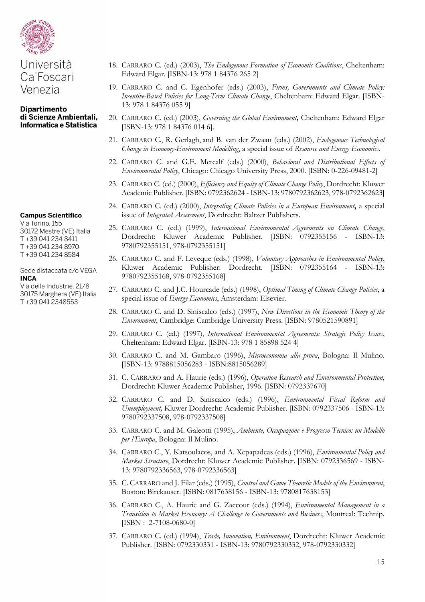

# Università Ca'Foscari Venezia

#### **Dipartimento** di Scienze Ambientali, Informatica e Statistica

#### **Campus Scientifico**

Via Torino, 155 30172 Mestre (VE) Italia T+39 041 234 8411 T+39 041 234 8970 T+39 041 234 8584

#### Sede distaccata c/o VEGA **INCA**

Via delle Industrie, 21/8 30175 Marghera (VE) Italia T+39 041 2348553

- 18. CARRARO C. (ed.) (2003), *The Endogenous Formation of Economic Coalitions*, Cheltenham: Edward Elgar. [ISBN-13: 978 1 84376 265 2]
- 19. CARRARO C. and C. Egenhofer (eds.) (2003), *Firms, Governments and Climate Policy: Incentive-Based Policies for Long-Term Climate Change*, Cheltenham: Edward Elgar. [ISBN-13: 978 1 84376 055 9]
- 20. CARRARO C. (ed.) (2003), *Governing the Global Environment***,** Cheltenham: Edward Elgar [ISBN-13: 978 1 84376 014 6].
- 21. CARRARO C., R. Gerlagh, and B. van der Zwaan (eds.) (2002), *Endogenous Technological Change in Economy-Environment Modelling*, a special issue of *Resource and Energy Economics*.
- 22. CARRARO C. and G.E. Metcalf (eds.) (2000), *Behavioral and Distributional Effects of Environmental Policy*, Chicago: Chicago University Press, 2000. [ISBN: 0-226-09481-2]
- 23. CARRARO C. (ed.) (2000), *Efficiency and Equity of Climate Change Policy*, Dordrecht: Kluwer Academic Publisher. [ISBN: 0792362624 - ISBN-13: 9780792362623, 978-0792362623]
- 24. CARRARO C. (ed.) (2000), *Integrating Climate Policies in a European Environment***,** a special issue of *Integrated Assessment*, Dordrecht: Baltzer Publishers.
- 25. CARRARO C. (ed.) (1999), *International Environmental Agreements on Climate Change*, Dordrecht: Kluwer Academic Publisher. [ISBN: 0792355156 - ISBN-13: 9780792355151, 978-0792355151]
- 26. CARRARO C. and F. Leveque (eds.) (1998), *Voluntary Approaches in Environmental Policy*, Kluwer Academic Publisher: Dordrecht. [ISBN: 0792355164 - ISBN-13: 9780792355168, 978-0792355168]
- 27. CARRARO C. and J.C. Hourcade (eds.) (1998), *Optimal Timing of Climate Change Policies*, a special issue of *Energy Economics*, Amsterdam: Elsevier.
- 28. CARRARO C. and D. Siniscalco (eds.) (1997), *New Directions in the Economic Theory of the Environment*, Cambridge: Cambridge University Press. [ISBN: 9780521590891]
- 29. CARRARO C. (ed.) (1997), *International Environmental Agreements: Strategic Policy Issues*, Cheltenham: Edward Elgar. [ISBN-13: 978 1 85898 524 4]
- 30. CARRARO C. and M. Gambaro (1996), *Microeconomia alla prova*, Bologna: Il Mulino. [ISBN-13: 9788815056283 - ISBN:8815056289]
- 31. C. CARRARO and A. Haurie (eds.) (1996), *Operation Research and Environmental Protection*, Dordrecht: Kluwer Academic Publisher, 1996. [ISBN: 0792337670]
- 32. CARRARO C. and D. Siniscalco (eds.) (1996), *Environmental Fiscal Reform and Unemployment,* Kluwer Dordrecht: Academic Publisher. [ISBN: 0792337506 - ISBN-13: 9780792337508, 978-0792337508]
- 33. CARRARO C. and M. Galeotti (1995), *Ambiente, Occupazione e Progresso Tecnico: un Modello per l'Europa*, Bologna: Il Mulino.
- 34. CARRARO C., Y. Katsoulacos, and A. Xepapadeas (eds.) (1996), *Environmental Policy and Market Structure*, Dordrecht: Kluwer Academic Publisher. [ISBN: 0792336569 - ISBN-13: 9780792336563, 978-0792336563]
- 35. C. CARRARO and J. Filar (eds.) (1995), *Control and Game Theoretic Models of the Environment*, Boston: Birckauser. [ISBN: 0817638156 - ISBN-13: 9780817638153]
- 36. CARRARO C., A. Haurie and G. Zaccour (eds.) (1994), *Environmental Management in a Transition to Market Economy: A Challenge to Governments and Business*, Montreal: Technip. [ISBN : 2-7108-0680-0]
- 37. CARRARO C. (ed.) (1994), *Trade, Innovation, Environment*, Dordrecht: Kluwer Academic Publisher. [ISBN: 0792330331 - ISBN-13: 9780792330332, 978-0792330332]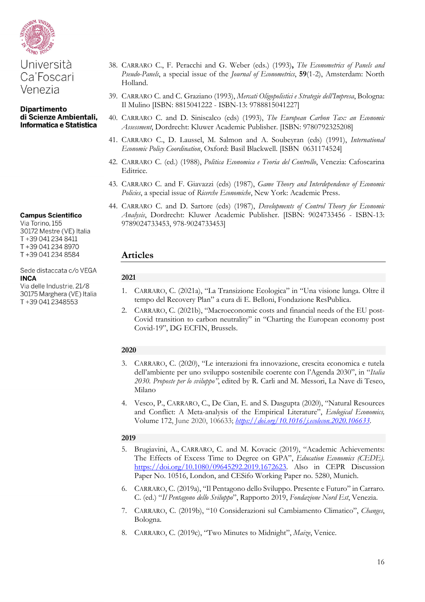

# Università Ca'Foscari Venezia

#### **Dipartimento** di Scienze Ambientali, Informatica e Statistica

# **Campus Scientifico**

Via Torino, 155 30172 Mestre (VE) Italia T+39 041 234 8411 T+39 041 234 8970 T+39 041 234 8584

#### Sede distaccata c/o VEGA **INCA**

Via delle Industrie, 21/8 30175 Marghera (VE) Italia T+39 041 2348553

- 38. CARRARO C., F. Peracchi and G. Weber (eds.) (1993)**,** *The Econometrics of Panels and Pseudo-Panels*, a special issue of the *Journal of Econometrics*, **59**(1-2), Amsterdam: North Holland.
- 39. CARRARO C. and C. Graziano (1993), *Mercati Oligopolistici e Strategie dell'Impresa*, Bologna: Il Mulino [ISBN: 8815041222 - ISBN-13: 9788815041227]
- 40. CARRARO C. and D. Siniscalco (eds) (1993), *The European Carbon Tax: an Economic Assessment*, Dordrecht: Kluwer Academic Publisher. [ISBN: 9780792325208]
- 41. CARRARO C., D. Laussel, M. Salmon and A. Soubeyran (eds) (1991), *International Economic Policy Coordination*, Oxford: Basil Blackwell. [ISBN 0631174524]
- 42. CARRARO C. (ed.) (1988), *Politica Economica e Teoria del Controllo*, Venezia: Cafoscarina Editrice.
- 43. CARRARO C. and F. Giavazzi (eds) (1987), *Game Theory and Interdependence of Economic Policies*, a special issue of *Ricerche Economiche*, New York: Academic Press.
- 44. CARRARO C. and D. Sartore (eds) (1987), *Developments of Control Theory for Economic Analysis*, Dordrecht: Kluwer Academic Publisher. [ISBN: 9024733456 - ISBN-13: 9789024733453, 978-9024733453]

# **Articles**

# **2021**

- 1. CARRARO, C. (2021a), "La Transizione Ecologica" in "Una visione lunga. Oltre il tempo del Recovery Plan" a cura di E. Belloni, Fondazione ResPublica.
- 2. CARRARO, C. (2021b), "Macroeconomic costs and financial needs of the EU post-Covid transition to carbon neutrality" in "Charting the European economy post Covid-19", DG ECFIN, Brussels.

# **2020**

- 3. CARRARO, C. (2020), "Le interazioni fra innovazione, crescita economica e tutela dell'ambiente per uno sviluppo sostenibile coerente con l'Agenda 2030", in "*Italia 2030. Proposte per lo sviluppo"*, edited by R. Carli and M. Messori, La Nave di Teseo, Milano
- 4. Vesco, P., CARRARO, C., De Cian, E. and S. Dasgupta (2020), "Natural Resources and Conflict: A Meta-analysis of the Empirical Literature", *Ecological Economics,*  [Volume 172,](https://www.sciencedirect.com/science/journal/09218009/172/supp/C) June 2020, 106633; *<https://doi.org/10.1016/j.ecolecon.2020.106633>*.

- 5. Brugiavini, A., CARRARO, C. and M. Kovacic (2019), "Academic Achievements: The Effects of Excess Time to Degree on GPA", *Education Economics (CEDE)*. [https://doi.org/10.1080/09645292.2019.1672623.](https://doi.org/10.1080/09645292.2019.1672623) Also in CEPR Discussion Paper No. 10516, London, and CESifo Working Paper no. 5280, Munich.
- 6. CARRARO, C. (2019a), "Il Pentagono dello Sviluppo. Presente e Futuro" in Carraro. C. (ed.) "*Il Pentagono dello Sviluppo*", Rapporto 2019, *Fondazione Nord Est*, Venezia.
- 7. CARRARO, C. (2019b), "10 Considerazioni sul Cambiamento Climatico", *Changes*, Bologna.
- 8. CARRARO, C. (2019c), "Two Minutes to Midnight", *Maize*, Venice.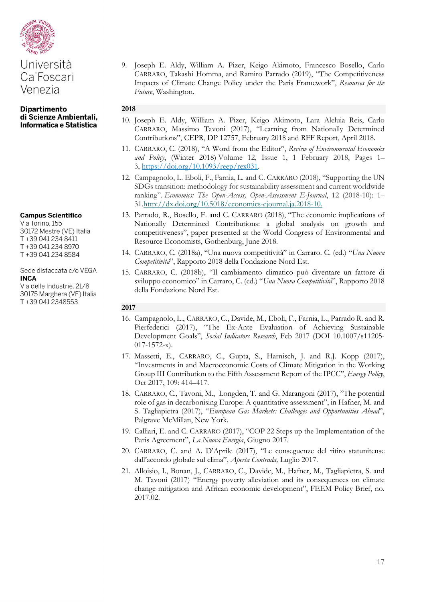

#### **Campus Scientifico**

Via Torino, 155 30172 Mestre (VE) Italia T+39 041 234 8411 T+39 041 234 8970 T+39 041 234 8584

Sede distaccata c/o VEGA **INCA** 

Via delle Industrie, 21/8 30175 Marghera (VE) Italia T+39 041 2348553

9. Joseph E. Aldy, William A. Pizer, Keigo Akimoto, Francesco Bosello, Carlo CARRARO, Takashi Homma, and Ramiro Parrado (2019), "The Competitiveness Impacts of Climate Change Policy under the Paris Framework", *Resources for the Future*, Washington.

# **2018**

- 10. Joseph E. Aldy, William A. Pizer, Keigo Akimoto, Lara Aleluia Reis, Carlo CARRARO, Massimo Tavoni (2017), "Learning from Nationally Determined Contributions", CEPR, DP 12757, February 2018 and RFF Report, April 2018.
- 11. CARRARO, C. (2018), "A Word from the Editor", *Review of Environmental Economics and Policy*, (Winter 2018) Volume 12, Issue 1, 1 February 2018, Pages 1– 3, [https://doi.org/10.1093/reep/rex031.](https://doi.org/10.1093/reep/rex031)
- 12. Campagnolo, L. Eboli, F., Farnia, L. and C. CARRARO (2018), "Supporting the UN SDGs transition: methodology for sustainability assessment and current worldwide ranking". *Economics: The Open-Access, Open-Assessment E-Journal*, 12 (2018-10): 1– 31[.http://dx.doi.org/10.5018/economics-ejournal.ja.2018-10.](http://dx.doi.org/10.5018/economics-ejournal.ja.2018-10)
- 13. Parrado, R., Bosello, F. and C. CARRARO (2018), "The economic implications of Nationally Determined Contributions: a global analysis on growth and competitiveness", paper presented at the World Congress of Environmental and Resource Economists, Gothenburg, June 2018.
- 14. CARRARO, C. (2018a), "Una nuova competitività" in Carraro. C. (ed.) "*Una Nuova Competitività*", Rapporto 2018 della Fondazione Nord Est.
- 15. CARRARO, C. (2018b), "Il cambiamento climatico può diventare un fattore di sviluppo economico" in Carraro, C. (ed.) "*Una Nuova Competitività*", Rapporto 2018 della Fondazione Nord Est.

- 16. Campagnolo, L., CARRARO, C., Davide, M., Eboli, F., Farnia, L., Parrado R. and R. Pierfederici (2017), "The Ex-Ante Evaluation of Achieving Sustainable Development Goals", *Social Indicators Research*, Feb 2017 (DOI 10.1007/s11205- 017-1572-x).
- 17. Massetti, E., CARRARO, C., Gupta, S., Harnisch, J. and R.J. Kopp (2017), "Investments in and Macroeconomic Costs of Climate Mitigation in the Working Group III Contribution to the Fifth Assessment Report of the IPCC", *Energy Policy*, Oct 2017, 109: 414–417.
- 18. CARRARO, C., Tavoni, M., Longden, T. and G. Marangoni (2017), "The potential role of gas in decarbonising Europe: A quantitative assessment", in Hafner, M. and S. Tagliapietra (2017), "*European Gas Markets: Challenges and Opportunities Ahead*", Palgrave McMillan, New York.
- 19. Calliari, E. and C. CARRARO (2017), "COP 22 Steps up the Implementation of the Paris Agreement", *La Nuova Energia*, Giugno 2017.
- 20. CARRARO, C. and A. D'Aprile (2017), "Le conseguenze del ritiro statunitense dall'accordo globale sul clima", *Aperta Contrada,* Luglio 2017.
- 21. Alloisio, I., Bonan, J., CARRARO, C., Davide, M., Hafner, M., Tagliapietra, S. and M. Tavoni (2017) "Energy poverty alleviation and its consequences on climate change mitigation and African economic development", FEEM Policy Brief, no. 2017.02.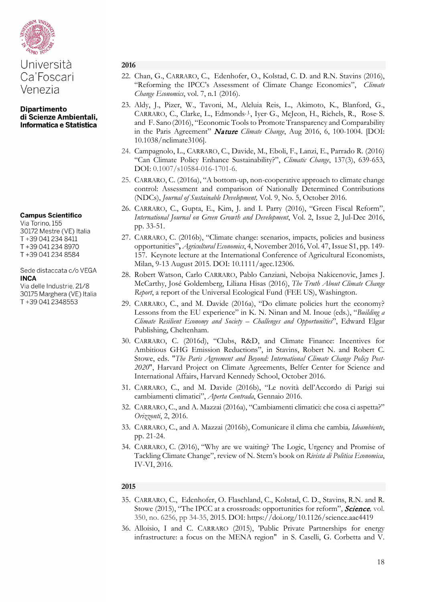

## **Campus Scientifico**

Via Torino, 155 30172 Mestre (VE) Italia T+39 041 234 8411 T+39 041 234 8970 T+39 041 234 8584

#### Sede distaccata c/o VEGA **INCA**

Via delle Industrie, 21/8 30175 Marghera (VE) Italia T+39 041 2348553

#### **2016**

- 22. Chan, G., CARRARO, C., Edenhofer, O., Kolstad, C. D. and R.N. Stavins (2016), "Reforming the IPCC's Assessment of Climate Change Economics", *Climate Change Economics*, vol. 7, n.1 (2016).
- 23. Aldy, J., Pizer, W., Tavoni, M., Aleluia Reis, L., Akimoto, K., Blanford, G., CARRARO, C., Clarke, L., Edmonds<sup>, J</sup>., Iyer, G., McJeon, H., Richels, R., Rose, S. and F. Sano(2016), "Economic Tools to Promote Transparency and Comparability in the Paris Agreement" Nature *Climate Change*, Aug 2016, 6, 100-1004. [DOI: 10.1038/nclimate3106].
- 24. Campagnolo, L., CARRARO, C., Davide, M., Eboli, F., Lanzi, E., Parrado R. (2016) "Can Climate Policy Enhance Sustainability?", *Climatic Change*, 137(3), 639-653, DOI: 0.1007/s10584-016-1701-6.
- 25. CARRARO, C. (2016a), "A bottom-up, non-cooperative approach to climate change control: Assessment and comparison of Nationally Determined Contributions (NDCs), *Journal of Sustainable Development,* Vol. 9, No. 5, October 2016.
- 26. CARRARO, C., Gupta, E., Kim, J. and I. Parry (2016), "Green Fiscal Reform", *International Journal on Green Growth and Development*, Vol. 2, Issue 2, Jul-Dec 2016, pp. 33-51.
- 27. CARRARO, C. (2016b), "Climate change: scenarios, impacts, policies and business opportunities"**,** *Agricultural Economics*, 4, November 2016, Vol. 47, Issue S1, pp. 149- 157. Keynote lecture at the International Conference of Agricultural Economists, Milan, 9-13 August 2015. DOI: 10.1111/agec.12306.
- 28. Robert Watson, Carlo CARRARO, Pablo Canziani, Nebojsa Nakicenovic, James J. McCarthy, José Goldemberg, Liliana Hisas (2016), *The Truth About Climate Change Report*, a report of the Universal Ecological Fund (FEE US), Washington.
- 29. CARRARO, C., and M. Davide (2016a), "Do climate policies hurt the economy? Lessons from the EU experience" in K. N. Ninan and M. Inoue (eds.), "*Building a Climate Resilient Economy and Society – Challenges and Opportunities*", Edward Elgar Publishing, Cheltenham.
- 30. CARRARO, C. (2016d), "Clubs, R&D, and Climate Finance: Incentives for Ambitious GHG Emission Reductions", in Stavins, Robert N. and Robert C. Stowe, eds. "*The Paris Agreement and Beyond: International Climate Change Policy Post-2020*", [Harvard Project on Climate Agreements, Belfer Center for Science and](http://belfercenter.ksg.harvard.edu/project/56/harvard_project_on_climate_agreements.html)  [International Affairs, Harvard Kennedy School,](http://belfercenter.ksg.harvard.edu/project/56/harvard_project_on_climate_agreements.html) October 2016.
- 31. CARRARO, C., and M. Davide (2016b), "Le novità dell'Accordo di Parigi sui cambiamenti climatici", *Aperta Contrada*, Gennaio 2016.
- 32. CARRARO, C., and A. Mazzai (2016a), "Cambiamenti climatici: che cosa ci aspetta?" *Orizzonti*, 2, 2016.
- 33. CARRARO, C., and A. Mazzai (2016b), Comunicare il clima che cambia*, Ideambiente*, pp. 21-24.
- 34. CARRARO, C. (2016), "Why are we waiting? The Logic, Urgency and Promise of Tackling Climate Change", review of N. Stern's book on *Rivista di Politica Economica*, IV-VI, 2016.

- 35. CARRARO, C., Edenhofer, O. Flaschland, C., Kolstad, C. D., Stavins, R.N. and R. Stowe (2015), "The IPCC at a crossroads: opportunities for reform", Science*,* vol. 350, no. 6256, pp 34-35, 2015. DOI: <https://doi.org/10.1126/science.aac4419>
- 36. Alloisio, I and C. CARRARO (2015), 'Public Private Partnerships for energy infrastructure: a focus on the MENA region" in S. Caselli, G. Corbetta and V.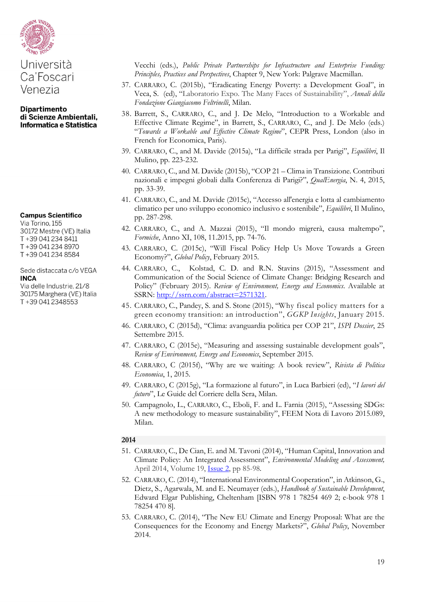

**Campus Scientifico** 

Via Torino, 155 30172 Mestre (VE) Italia T+39 041 234 8411 T+39 041 234 8970 T+39 041 234 8584

Sede distaccata c/o VEGA **INCA** 

Via delle Industrie, 21/8 30175 Marghera (VE) Italia T+39 041 2348553

Vecchi (eds.), *Public Private Partnerships for Infrastructure and Enterprise Funding: Principles, Practices and Perspectives*, Chapter 9, New York: Palgrave Macmillan.

- 37. CARRARO, C. (2015b), "Eradicating Energy Poverty: a Development Goal", in Veca, S. (ed), "Laboratorio Expo. The Many Faces of Sustainability", *Annali della Fondazione Giangiacomo Feltrinelli*, Milan.
- 38. Barrett, S., CARRARO, C., and J. De Melo, "Introduction to a Workable and Effective Climate Regime", in Barrett, S., CARRARO, C., and J. De Melo (eds.) "*Towards a Workable and Effective Climate Regime*", CEPR Press, London (also in French for Economica, Paris).
- 39. CARRARO, C., and M. Davide (2015a), "La difficile strada per Parigi", *Equilibri*, Il Mulino, pp. 223-232.
- 40. CARRARO, C., and M. Davide (2015b), "COP 21 Clima in Transizione. Contributi nazionali e impegni globali dalla Conferenza di Parigi?", *QualEnergia*, N. 4, 2015, pp. 33-39.
- 41. CARRARO, C., and M. Davide (2015c), "Accesso all'energia e lotta al cambiamento climatico per uno sviluppo economico inclusivo e sostenibile", *Equilibri*, Il Mulino, pp. 287-298.
- 42. CARRARO, C., and A. Mazzai (2015), "Il mondo migrerà, causa maltempo", *Formiche*, Anno XI, 108, 11.2015, pp. 74-76.
- 43. CARRARO, C. (2015c), "Will Fiscal Policy Help Us Move Towards a Green Economy?", *Global Policy*, February 2015.
- 44. CARRARO, C., Kolstad, C. D. and R.N. Stavins (2015), "Assessment and Communication of the Social Science of Climate Change: Bridging Research and Policy" (February 2015). *Review of Environment, Energy and Economics*. Available at SSRN: [http://ssrn.com/abstract=2571321.](http://ssrn.com/abstract=2571321)
- 45. CARRARO, C., Pandey, S. and S. Stone (2015), "Why fiscal policy matters for a green economy transition: an introduction", *GGKP Insights*, January 2015.
- 46. CARRARO, C (2015d), "Clima: avanguardia politica per COP 21", *ISPI Dossier*, 25 Settembre 2015.
- 47. CARRARO, C (2015e), "Measuring and assessing sustainable development goals", *Review of Environment, Energy and Economics*, September 2015.
- 48. CARRARO, C (2015f), "Why are we waiting: A book review", *Rivista di Politica Economica*, 1, 2015.
- 49. CARRARO, C (2015g), "La formazione al futuro", in Luca Barbieri (ed), "*I lavori del futuro*", Le Guide del Corriere della Sera, Milan.
- 50. Campagnolo, L., CARRARO, C., Eboli, F. and L. Farnia (2015), "Assessing SDGs: A new methodology to measure sustainability", FEEM Nota di Lavoro 2015.089, Milan.

- 51. CARRARO, C., De Cian, E. and M. Tavoni (2014), "Human Capital, Innovation and Climate Policy: An Integrated Assessment", *Environmental Modeling and Assessment,*  April 2014, Volume 19, [Issue](http://link.springer.com/journal/10666/19/2/page/1) 2, pp 85-98*.*
- 52. CARRARO, C. (2014), "International Environmental Cooperation", in Atkinson, G., Dietz, S., Agarwala, M. and E. Neumayer (eds.), *Handbook of Sustainable Development*, Edward Elgar Publishing, Cheltenham [ISBN 978 1 78254 469 2; e-book 978 1 78254 470 8].
- 53. CARRARO, C. (2014), "The New EU Climate and Energy Proposal: What are the Consequences for the Economy and Energy Markets?", *Global Policy*, November 2014.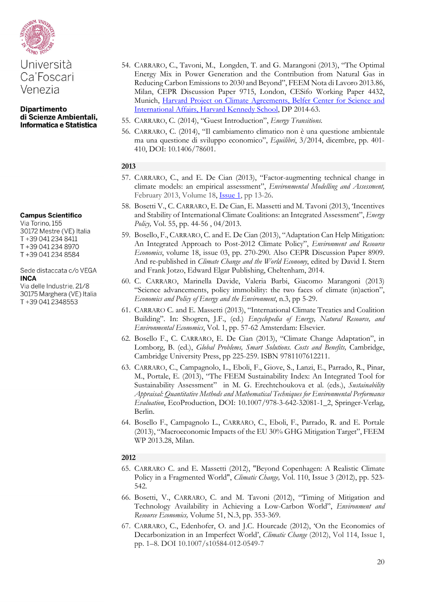

#### **Campus Scientifico**

Via Torino, 155 30172 Mestre (VE) Italia T+39 041 234 8411 T+39 041 234 8970 T+39 041 234 8584

#### Sede distaccata c/o VEGA **INCA**

Via delle Industrie, 21/8 30175 Marghera (VE) Italia T+39 041 2348553

- 54. CARRARO, C., Tavoni, M., Longden, T. and G. Marangoni (2013), "The Optimal Energy Mix in Power Generation and the Contribution from Natural Gas in Reducing Carbon Emissions to 2030 and Beyond", FEEM Nota di Lavoro 2013.86, Milan, CEPR Discussion Paper 9715, London, CESifo Working Paper 4432, Munich, Harvard Project on Climate Agreements, Belfer Center for Science and [International Affairs, Harvard Kennedy School,](http://belfercenter.ksg.harvard.edu/project/56/harvard_project_on_climate_agreements.html) DP 2014-63.
- 55. CARRARO, C. (2014), "Guest Introduction", *Energy Transitions.*
- 56. CARRARO, C. (2014), "Il cambiamento climatico non è una questione ambientale ma una questione di sviluppo economico", *Equilibri*, 3/2014, dicembre, pp. 401- 410, DOI: 10.1406/78601.

#### **2013**

- 57. CARRARO, C., and E. De Cian (2013), "Factor-augmenting technical change in climate models: an empirical assessment", *Environmental Modelling and Assessment,*  February 2013, Volume 18, <u>[Issue](http://link.springer.com/journal/10666/18/1/page/1) 1</u>, pp 13-26.
- 58. Bosetti V., C. CARRARO, E. De Cian, E. Massetti and M. Tavoni (2013), 'Incentives and Stability of International Climate Coalitions: an Integrated Assessment", *Energy Policy,* Vol. 55, pp. 44-56 , 04/2013.
- 59. Bosello, F., CARRARO, C. and E. De Cian (2013), "Adaptation Can Help Mitigation: An Integrated Approach to Post-2012 Climate Policy", *Environment and Resource Economics*, volume 18, issue 03, pp. 270-290*.* Also CEPR Discussion Paper 8909. And re-published in *Climate Change and the World Economy*, edited by David I. Stern and Frank Jotzo, Edward Elgar Publishing, Cheltenham, 2014.
- 60. C. CARRARO, Marinella Davide, Valeria Barbi, Giacomo Marangoni (2013) "Science advancements, policy immobility: the two faces of climate (in)action", *Economics and Policy of Energy and the Environment*, n.3, pp 5-29.
- 61. CARRARO C. and E. Massetti (2013), "International Climate Treaties and Coalition Building". In: Shogren, J.F., (ed.) *Encyclopedia of Energy, Natural Resource, and Environmental Economics*, Vol. 1, pp. 57-62 Amsterdam: Elsevier.
- 62. Bosello F., C. CARRARO, E. De Cian (2013), "Climate Change Adaptation", in Lomborg, B. (ed.), *Global Problems, Smart Solutions. Costs and Benefits, Cambridge*, Cambridge University Press, pp 225-259. ISBN 9781107612211.
- 63. CARRARO, C., Campagnolo, L., Eboli, F., Giove, S., Lanzi, E., Parrado, R., Pinar, M., Portale, E. (2013), "The FEEM Sustainability Index: An Integrated Tool for Sustainability Assessment" in M. G. Erechtchoukova et al. (eds.), *Sustainability Appraisal: Quantitative Methods and Mathematical Techniques for Environmental Performance Evaluation*, EcoProduction, DOI: 10.1007/978-3-642-32081-1\_2, Springer-Verlag, Berlin.
- 64. Bosello F., Campagnolo L., CARRARO, C., Eboli, F., Parrado, R. and E. Portale (2013), "Macroeconomic Impacts of the EU 30% GHG Mitigation Target", FEEM WP 2013.28, Milan.

- 65. CARRARO C. and E. Massetti (2012), "Beyond Copenhagen: A Realistic Climate Policy in a Fragmented World", *Climatic Change,* Vol. 110, Issue 3 (2012), pp. 523- 542*.*
- 66. Bosetti, V., CARRARO, C. and M. Tavoni (2012), "Timing of Mitigation and Technology Availability in Achieving a Low-Carbon World", *Environment and Resource Economics,* Volume 51, N.3, pp. 353-369.
- 67. CARRARO, C., Edenhofer, O. and J.C. Hourcade (2012), 'On the Economics of Decarbonization in an Imperfect World', *Climatic Change* (2012), Vol 114, Issue 1, pp. 1–8. DOI 10.1007/s10584-012-0549-7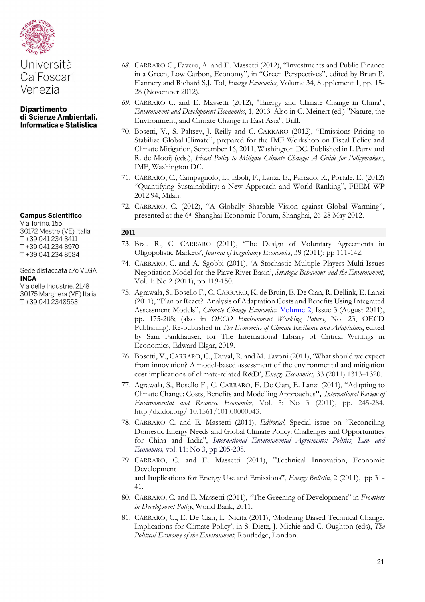

# **Campus Scientifico**

Via Torino, 155 30172 Mestre (VE) Italia T+39 041 234 8411 T+39 041 234 8970 T+39 041 234 8584

#### Sede distaccata c/o VEGA **INCA**

Via delle Industrie, 21/8 30175 Marghera (VE) Italia T+39 041 2348553

- *68.* CARRARO C., Favero, A. and E. Massetti (2012), "Investments and Public Finance in a Green, Low Carbon, Economy", in "Green Perspectives", edited by Brian P. Flannery and Richard S.J. Tol, *Energy Economics*, Volume 34, Supplement 1, pp. 15- 28 (November 2012).
- *69.* CARRARO C. and E. Massetti (2012), "Energy and Climate Change in China", *Environment and Development Economics*, 1, 2013*.* Also in C. Meinert (ed.) "Nature, the Environment, and Climate Change in East Asia", Brill.
- 70. Bosetti, V., S. Paltsev, J. Reilly and C. CARRARO (2012), "Emissions Pricing to Stabilize Global Climate", prepared for the IMF Workshop on Fiscal Policy and Climate Mitigation, September 16, 2011, Washington DC. Published in I. Parry and R. de Mooij (eds.), *Fiscal Policy to Mitigate Climate Change: A Guide for Policymakers*, IMF, Washington DC.
- 71. CARRARO, C., Campagnolo, L., Eboli, F., Lanzi, E., Parrado, R., Portale, E. (2012) "Quantifying Sustainability: a New Approach and World Ranking", FEEM WP 2012.94, Milan.
- 72. CARRARO, C. (2012), "A Globally Sharable Vision against Global Warming", presented at the 6th Shanghai Economic Forum, Shanghai, 26-28 May 2012.

- 73. Brau R., C. CARRARO (2011), 'The Design of Voluntary Agreements in Oligopolistic Markets', *Journal of Regulatory Economics*, 39 (2011): pp 111-142.
- 74. CARRARO, C. and A. Sgobbi (2011), 'A Stochastic Multiple Players Multi-Issues Negotiation Model for the Piave River Basin', *Strategic Behaviour and the Environment*, Vol. 1: No 2 (2011), pp 119-150.
- 75. Agrawala, S., Bosello F., C. CARRARO, K. de Bruin, E. De Cian, R. Dellink, E. Lanzi (2011), "Plan or React?: Analysis of Adaptation Costs and Benefits Using Integrated Assessment Models", *Climate Change Economics,* [Volume 2,](http://www.worldscinet.com/cce/mkt/archive.shtml?2011&2) Issue 3 (August 2011), pp. 175-208; (also in *OECD Environment Working Papers*, No. 23, OECD Publishing). Re-published in *The Economics of Climate Resilience and Adaptation*, edited by Sam Fankhauser, for The International Library of Critical Writings in Economics, Edward Elgar, 2019.
- 76. Bosetti, V., CARRARO, C., Duval, R. and M. Tavoni (2011), 'What should we expect from innovation? A model-based assessment of the environmental and mitigation cost implications of climate-related R&D', *Energy Economics,* 33 (2011) 1313–1320.
- 77. Agrawala, S., Bosello F., C. CARRARO, E. De Cian, E. Lanzi (2011), "Adapting to Climate Change: Costs, Benefits and Modelling Approaches**",** *International Review of Environmental and Resource Economics*, Vol. 5: No 3 (2011), pp. 245-284. http:/dx.doi.org/ 10.1561/101.00000043.
- 78. CARRARO C. and E. Massetti (2011), *Editorial*, Special issue on "Reconciling Domestic Energy Needs and Global Climate Policy: Challenges and Opportunities for China and India", *International Environmental Agreements: Politics, Law and Economics,* vol. 11: No 3, pp 205-208.
- 79. CARRARO, C. and E. Massetti (2011), "Technical Innovation, Economic Development and Implications for Energy Use and Emissions", *Energy Bulletin*, 2 (2011), pp 31- 41.
- 80. CARRARO, C. and E. Massetti (2011), "The Greening of Development" in *Frontiers in Development Policy*, World Bank, 2011.
- 81. CARRARO, C., E. De Cian, L. Nicita (2011), 'Modeling Biased Technical Change. Implications for Climate Policy', in S. Dietz, J. Michie and C. Oughton (eds), *The Political Economy of the Environment*, Routledge, London.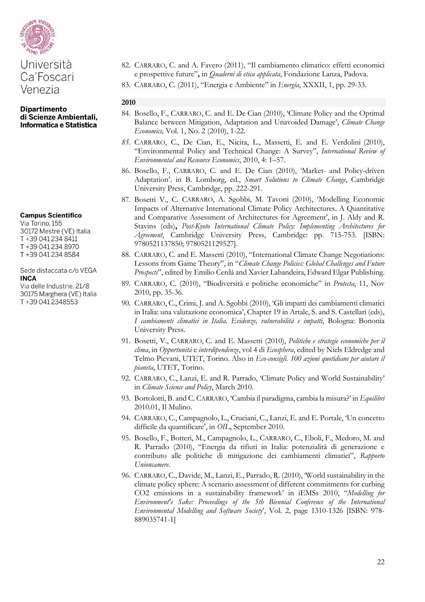

#### **Campus Scientifico**

Via Torino, 155 30172 Mestre (VE) Italia T+39 041 234 8411 T+39 041 234 8970 T+39 041 234 8584

#### Sede distaccata c/o VEGA **INCA**

Via delle Industrie, 21/8 30175 Marghera (VE) Italia T+39 041 2348553

- 82. CARRARO, C. and A. Favero (2011), "Il cambiamento climatico: effetti economici e prospettive future"**,** in *Quaderni di etica applicata*, Fondazione Lanza, Padova.
- 83. CARRARO, C. (2011), "Energia e Ambiente" in *Energia*, XXXII, 1, pp. 29-33.

- 84. Bosello, F., CARRARO, C. and E. De Cian (2010), 'Climate Policy and the Optimal Balance between Mitigation, Adaptation and Unavoided Damage', *Climate Change Economics,* Vol. 1, No. 2 (2010), 1-22*.*
- *85.* CARRARO, C., De Cian, E., Nicita, L., Massetti, E. and E. Verdolini (2010), "Environmental Policy and Technical Change: A Survey", *International Review of Environmental and Resource Economics*, 2010, 4: 1–57.
- 86. Bosello, F., CARRARO, C. and E. De Cian (2010), 'Market- and Policy-driven Adaptation'. in B. Lomborg, ed., *Smart Solutions to Climate Change*, Cambridge University Press, Cambridge, pp. 222-291.
- 87. Bosetti V., C. CARRARO, A. Sgobbi, M. Tavoni (2010), 'Modelling Economic Impacts of Alternative International Climate Policy Architectures. A Quantitative and Comparative Assessment of Architectures for Agreement', in J. Aldy and R. Stavins (eds)**,** *Post-Kyoto International Climate Policy: Implementing Architectures for Agreement*, Cambridge University Press, Cambridge: pp. 715-753. [ISBN: 9780521137850; 9780521129527].
- 88. CARRARO, C. and E. Massetti (2010), "International Climate Change Negotiations: Lessons from Game Theory", in "*Climate Change Policies: Global Challenges and Future Prospects*", edited by Emilio Cerdá and Xavier Labandeira, Edward Elgar Publishing.
- 89. CARRARO, C. (2010), "Biodiversità e politiche economiche" in *Protecta*, 11, Nov 2010, pp. 35-36.
- 90. CARRARO, C., Crimi, J. and A. Sgobbi (2010), 'Gli impatti dei cambiamenti climatici in Italia: una valutazione economica', Chapter 19 in Artale, S. and S. Castellari (eds), *I cambiamenti climatici in Italia. Evidenze, vulnerabilità e impatti*, Bologna: Bononia University Press.
- 91. Bosetti, V., CARRARO, C. and E. Massetti (2010), *Politiche e strategie economiche per il clima*, in *Opportunità* e *interdipendenze*, vol 4 di *Ecosphera*, edited by Niels Eldredge and Telmo Pievani, UTET, Torino. Also in *Eco-consigli. 100 azioni quotidiane per aiutare il pianeta*, UTET, Torino.
- 92. CARRARO, C., Lanzi, E. and R. Parrado, 'Climate Policy and World Sustainability' in *Climate Science and Policy*, March 2010.
- 93. Bortolotti, B. and C. CARRARO, 'Cambia il paradigma, cambia la misura?' in *Equilibri* 2010.01, Il Mulino.
- 94. CARRARO, C., Campagnolo, L., Cruciani, C., Lanzi, E. and E. Portale, 'Un concetto difficile da quantificare', in *OIL*, September 2010.
- 95. Bosello, F., Botteri, M., Campagnolo, L., CARRARO, C., Eboli, F., Medoro, M. and R. Parrado (2010), "Energia da rifiuti in Italia: potenzialità di generazione e contributo alle politiche di mitigazione dei cambiamenti climatici", *Rapporto Unioncamere*.
- 96. CARRARO, C., Davide, M., Lanzi, E., Parrado, R. (2010), 'World sustainability in the climate policy sphere: A scenario assessment of different commitments for curbing CO2 emissions in a sustainability framework' in iEMSs 2010, "*Modelling for Environment's Sake: Proceedings of the 5th Biennial Conference of the International Environmental Modelling and Software Society*', Vol. 2, page 1310-1326 [ISBN: 978- 889035741-1]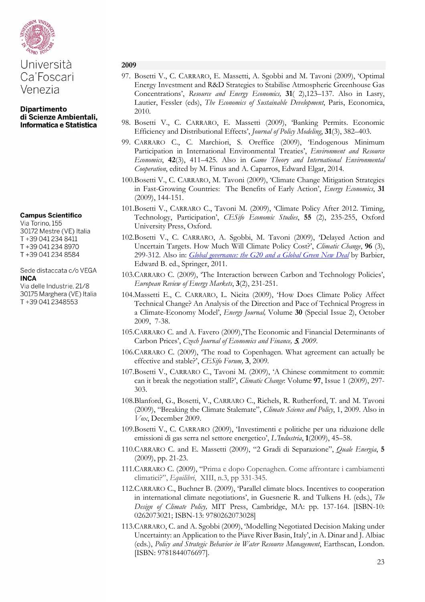

**Dipartimento** di Scienze Ambientali, Informatica e Statistica

#### **Campus Scientifico**

Via Torino, 155 30172 Mestre (VE) Italia T+39 041 234 8411 T+39 041 234 8970 T+39 041 234 8584

#### Sede distaccata c/o VEGA **INCA**

Via delle Industrie, 21/8 30175 Marghera (VE) Italia T+39 041 2348553

- 97. Bosetti V., C. CARRARO, E. Massetti, A. Sgobbi and M. Tavoni (2009), 'Optimal Energy Investment and R&D Strategies to Stabilise Atmospheric Greenhouse Gas Concentrations', *Resource and Energy Economics,* **31**( 2),123–137. Also in Lasry, Lautier, Fessler (eds), *The Economics of Sustainable Development*, Paris, Economica, 2010.
- 98. Bosetti V., C. CARRARO, E. Massetti (2009), 'Banking Permits. Economic Efficiency and Distributional Effects', *Journal of Policy Modeling*, **31**(3), 382–403.
- 99. CARRARO C., C. Marchiori, S. Oreffice (2009), 'Endogenous Minimum Participation in International Environmental Treaties', *Environment and Resource Economics*, **42**(3), 411–425. Also in *Game Theory and International Environmental Cooperation*, edited by M. Finus and A. Caparros, Edward Elgar, 2014.
- 100.Bosetti V., C. CARRARO, M. Tavoni (2009), 'Climate Change Mitigation Strategies in Fast-Growing Countries: The Benefits of Early Action', *Energy Economics*, **31** (2009), 144-151.
- 101.Bosetti V., CARRARO C., Tavoni M. (2009), 'Climate Policy After 2012. Timing, Technology, Participation', *CESifo Economic Studies*, **55** (2), 235-255, Oxford University Press, Oxford.
- 102.Bosetti V., C. CARRARO, A. Sgobbi, M. Tavoni (2009), 'Delayed Action and Uncertain Targets. How Much Will Climate Policy Cost?', *Climatic Change*, **96** (3), 299-312. Also in: *[Global governance: the G20 and a Global Green New Deal](http://ideas.repec.org/p/zbw/ifwedp/200938.html)* by Barbier, Edward B. ed., Springer, 2011.
- 103.CARRARO C. (2009), 'The Interaction between Carbon and Technology Policies', *European Review of Energy Markets*, **3**(2), 231-251.
- 104.Massetti E., C. CARRARO, L. Nicita (2009), 'How Does Climate Policy Affect Technical Change? An Analysis of the Direction and Pace of Technical Progress in a Climate-Economy Model', *Energy Journal,* Volume **30** (Special Issue 2), October 2009, 7-38.
- 105.CARRARO C. and A. Favero (2009),'The Economic and Financial Determinants of Carbon Prices', *Czech Journal of Economics and Finance,* 5*, 2009*.
- 106.CARRARO C. (2009), 'The road to Copenhagen. What agreement can actually be effective and stable?', *CESifo Forum,* **3**, 2009*.*
- 107.Bosetti V., CARRARO C., Tavoni M. (2009), 'A Chinese commitment to commit: can it break the negotiation stall?', *Climatic Change*: Volume **97**, Issue 1 (2009), 297- 303.
- 108.Blanford, G., Bosetti, V., CARRARO C., Richels, R. Rutherford, T. and M. Tavoni (2009), "Breaking the Climate Stalemate", *Climate Science and Policy*, 1, 2009. Also in *Vox*, December 2009.
- 109.Bosetti V., C. CARRARO (2009), 'Investimenti e politiche per una riduzione delle emissioni di gas serra nel settore energetico', *L'Industria*, **1**(2009), 45–58.
- 110.CARRARO C. and E. Massetti (2009), "2 Gradi di Separazione", *Quale Energia*, **5** (2009), pp. 21-23.
- 111.CARRARO C. (2009), "Prima e dopo Copenaghen. Come affrontare i cambiamenti climatici?", *Equilibri*, XIII, n.3, pp 331-345.
- 112.CARRARO C., Buchner B. (2009), 'Parallel climate blocs. Incentives to cooperation in international climate negotiations', in Guesnerie R. and Tulkens H. (eds.), *The Design of Climate Policy,* MIT Press, Cambridge, MA: pp. 137-164. [ISBN-10: 0262073021; ISBN-13: 9780262073028]
- 113.CARRARO, C. and A. Sgobbi (2009), 'Modelling Negotiated Decision Making under Uncertainty: an Application to the Piave River Basin, Italy', in A. Dinar and J. Albiac (eds.), *Policy and Strategic Behavior in Water Resource Management*, Earthscan, London. [ISBN: 9781844076697].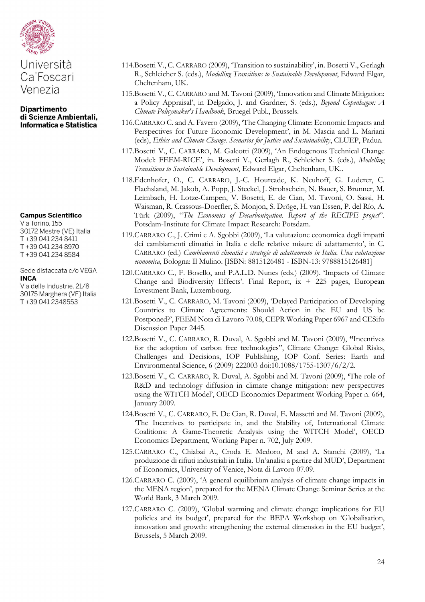

Ca'Foscari Venezia

**Dipartimento** di Scienze Ambientali, Informatica e Statistica

#### **Campus Scientifico**

Via Torino, 155 30172 Mestre (VE) Italia T+39 041 234 8411 T+39 041 234 8970 T+39 041 234 8584

Sede distaccata c/o VEGA **INCA** 

Via delle Industrie, 21/8 30175 Marghera (VE) Italia T+39 041 2348553

- 114.Bosetti V., C. CARRARO (2009), 'Transition to sustainability', in. Bosetti V., Gerlagh R., Schleicher S. (eds.), *Modelling Transitions to Sustainable Development*, Edward Elgar, Cheltenham, UK.
- 115.Bosetti V., C. CARRARO and M. Tavoni (2009), 'Innovation and Climate Mitigation: a Policy Appraisal', in Delgado, J. and Gardner, S. (eds.), *Beyond Copenhagen: A Climate Policymaker's Handbook*, Bruegel Publ., Brussels.
- 116.CARRARO C. and A. Favero (2009), 'The Changing Climate: Economic Impacts and Perspectives for Future Economic Development', in M. Mascia and L. Mariani (eds), *Ethics and Climate Change. Scenarios for Justice and Sustainability*, CLUEP, Padua.
- 117.Bosetti V., C. CARRARO, M. Galeotti (2009), 'An Endogenous Technical Change Model: FEEM-RICE', in. Bosetti V., Gerlagh R., Schleicher S. (eds.), *Modelling Transitions to Sustainable Development*, Edward Elgar, Cheltenham, UK..
- 118.Edenhofer, O., C. CARRARO, J.-C. Hourcade, K. Neuhoff, G. Luderer, C. Flachsland, M. Jakob, A. Popp, J. Steckel, J. Strohschein, N. Bauer, S. Brunner, M. Leimbach, H. Lotze-Campen, V. Bosetti, E. de Cian, M. Tavoni, O. Sassi, H. Waisman, R. Crassous-Doerfler, S. Monjon, S. Dröge, H. van Essen, P. del Río, A. Türk (2009), "*The Economics of Decarbonization. Report of the RECIPE project*". Potsdam-Institute for Climate Impact Research: Potsdam.
- 119.CARRARO C., J. Crimi e A. Sgobbi (2009), 'La valutazione economica degli impatti dei cambiamenti climatici in Italia e delle relative misure di adattamento', in C. CARRARO (ed.) *Cambiamenti climatici e strategie di adattamento in Italia. Una valutazione economica*, Bologna: Il Mulino. [ISBN: 8815126481 - ISBN-13: 9788815126481]
- 120.CARRARO C., F. Bosello, and P.A.L.D. Nunes (eds.) (2009). 'Impacts of Climate Change and Biodiversity Effects'. Final Report,  $ix + 225$  pages, European Investment Bank, Luxembourg.
- 121.Bosetti V., C. CARRARO, M. Tavoni (2009), 'Delayed Participation of Developing Countries to Climate Agreements: Should Action in the EU and US be Postponed?', FEEM Nota di Lavoro 70.08, CEPR Working Paper 6967 and CESifo Discussion Paper 2445.
- 122.Bosetti V., C. CARRARO, R. Duval, A. Sgobbi and M. Tavoni (2009), **"**Incentives for the adoption of carbon free technologies", Climate Change: Global Risks, Challenges and Decisions, IOP Publishing, IOP Conf. Series: Earth and Environmental Science, 6 (2009) 222003 doi:10.1088/1755-1307/6/2/2.
- 123.Bosetti V., C. CARRARO, R. Duval, A. Sgobbi and M. Tavoni (2009), **'**The role of R&D and technology diffusion in climate change mitigation: new perspectives using the WITCH Model', OECD Economics Department Working Paper n. 664, January 2009.
- 124.Bosetti V., C. CARRARO, E. De Cian, R. Duval, E. Massetti and M. Tavoni (2009), 'The Incentives to participate in, and the Stability of, International Climate Coalitions: A Game-Theoretic Analysis using the WITCH Model', OECD Economics Department, Working Paper n. 702, July 2009.
- 125.CARRARO C., Chiabai A., Croda E. Medoro, M and A. Stanchi (2009), 'La produzione di rifiuti industriali in Italia. Un'analisi a partire dal MUD', Department of Economics, University of Venice, Nota di Lavoro 07.09.
- 126.CARRARO C. (2009), 'A general equilibrium analysis of climate change impacts in the MENA region', prepared for the MENA Climate Change Seminar Series at the World Bank, 3 March 2009.
- 127.CARRARO C. (2009), 'Global warming and climate change: implications for EU policies and its budget', prepared for the BEPA Workshop on 'Globalisation, innovation and growth: strengthening the external dimension in the EU budget', Brussels, 5 March 2009.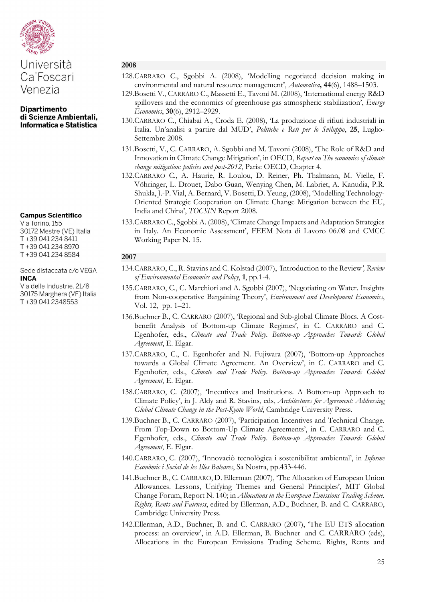

#### **Campus Scientifico**

Via Torino, 155 30172 Mestre (VE) Italia T+39 041 234 8411 T+39 041 234 8970 T+39 041 234 8584

#### Sede distaccata c/o VEGA **INCA**

Via delle Industrie, 21/8 30175 Marghera (VE) Italia T+39 041 2348553

#### **2008**

- 128.CARRARO C., Sgobbi A. (2008), 'Modelling negotiated decision making in environmental and natural resource management', *Automatica***, 44**(6), 1488–1503.
- 129.Bosetti V., CARRARO C., Massetti E., Tavoni M. (2008), 'International energy R&D spillovers and the economics of greenhouse gas atmospheric stabilization', *Energy Economics*, **30**(6), 2912–2929.
- 130.CARRARO C., Chiabai A., Croda E. (2008), 'La produzione di rifiuti industriali in Italia. Un'analisi a partire dal MUD', *Politiche e Reti per lo Sviluppo*, **25**, Luglio-Settembre 2008.
- 131.Bosetti, V., C. CARRARO, A. Sgobbi and M. Tavoni (2008), 'The Role of R&D and Innovation in Climate Change Mitigation', in OECD, *Report on The economics of climate change mitigation: policies and post-2012*, Paris: OECD, Chapter 4.
- 132.CARRARO C., A. Haurie, R. Loulou, D. Reiner, Ph. Thalmann, M. Vielle, F. Vöhringer, L. Drouet, Dabo Guan, Wenying Chen, M. Labriet, A. Kanudia, P.R. Shukla, J.-P. Vial, A. Bernard, V. Bosetti, D. Yeung, (2008), 'Modelling Technology-Oriented Strategic Cooperation on Climate Change Mitigation between the EU, India and China', *TOCSIN* Report 2008.
- 133.CARRARO C., Sgobbi A. (2008), 'Climate Change Impacts and Adaptation Strategies in Italy. An Economic Assessment', FEEM Nota di Lavoro 06.08 and CMCC Working Paper N. 15.

- 134.CARRARO, C., R. Stavins and C. Kolstad (2007), *'*Introduction to the Review*', Review of Environmental Economics and Policy*, **1**, pp.1-4.
- 135.CARRARO, C., C. Marchiori and A. Sgobbi (2007), 'Negotiating on Water. Insights from Non-cooperative Bargaining Theory', *Environment and Development Economics*, Vol. 12, pp. 1–21.
- 136.Buchner B., C. CARRARO (2007), 'Regional and Sub-global Climate Blocs. A Costbenefit Analysis of Bottom-up Climate Regimes', in C. CARRARO and C. Egenhofer, eds., *Climate and Trade Policy. Bottom-up Approaches Towards Global Agreement*, E. Elgar.
- 137.CARRARO, C., C. Egenhofer and N. Fujiwara (2007), 'Bottom-up Approaches towards a Global Climate Agreement. An Overview', in C. CARRARO and C. Egenhofer, eds., *Climate and Trade Policy. Bottom-up Approaches Towards Global Agreement*, E. Elgar.
- 138.CARRARO, C. (2007), 'Incentives and Institutions. A Bottom-up Approach to Climate Policy', in J. Aldy and R. Stavins, eds, *Architectures for Agreement: Addressing Global Climate Change in the Post-Kyoto World*, Cambridge University Press.
- 139.Buchner B., C. CARRARO (2007), 'Participation Incentives and Technical Change. From Top-Down to Bottom-Up Climate Agreements', in C. CARRARO and C. Egenhofer, eds., *Climate and Trade Policy. Bottom-up Approaches Towards Global Agreement*, E. Elgar.
- 140.CARRARO, C. (2007), 'Innovaciò tecnològica i sostenibilitat ambiental', in *Informe Econòmic i Social de les Illes Baleares*, Sa Nostra, pp.433-446.
- 141.Buchner B., C. CARRARO, D. Ellerman (2007), 'The Allocation of European Union Allowances. Lessons, Unifying Themes and General Principles', MIT Global Change Forum, Report N. 140; in *Allocations in the European Emissions Trading Scheme. Rights, Rents and Fairness*, edited by Ellerman, A.D., Buchner, B. and C. CARRARO, Cambridge University Press.
- 142.Ellerman, A.D., Buchner, B. and C. CARRARO (2007), 'The EU ETS allocation process: an overview', in A.D. Ellerman, B. Buchner and C. CARRARO (eds), Allocations in the European Emissions Trading Scheme. Rights, Rents and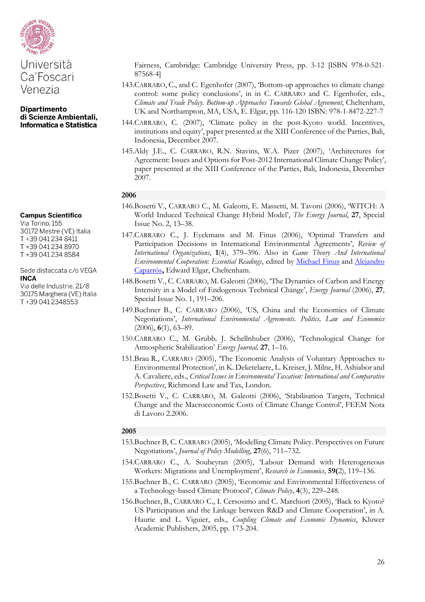

**Dipartimento** di Scienze Ambientali, Informatica e Statistica

# **Campus Scientifico**

Via Torino, 155 30172 Mestre (VE) Italia T+39 041 234 8411 T+39 041 234 8970 T+39 041 234 8584

#### Sede distaccata c/o VEGA **INCA**

Via delle Industrie, 21/8 30175 Marghera (VE) Italia T+39 041 2348553

Fairness, Cambridge: Cambridge University Press, pp. 3-12 [ISBN 978-0-521- 87568-4]

- 143.CARRARO, C., and C. Egenhofer (2007), 'Bottom-up approaches to climate change control: some policy conclusions', in in C. CARRARO and C. Egenhofer, eds., *Climate and Trade Policy. Bottom-up Approaches Towards Global Agreement*, Cheltenham, UK and Northampton, MA, USA, E. Elgar, pp. 116-120 ISBN: 978-1-8472-227-7
- 144.CARRARO, C. (2007), 'Climate policy in the post-Kyoto world. Incentives, institutions and equity', paper presented at the XIII Conference of the Parties, Bali, Indonesia, December 2007.
- 145.Aldy J.E., C. CARRARO, R.N. Stavins, W.A. Pizer (2007), 'Architectures for Agreement: Issues and Options for Post-2012 International Climate Change Policy', paper presented at the XIII Conference of the Parties, Bali, Indonesia, December 2007.

#### **2006**

- 146.Bosetti V., CARRARO C., M. Galeotti, E. Massetti, M. Tavoni (2006), 'WITCH: A World Induced Technical Change Hybrid Model', *The Energy Journal*, **27**, Special Issue No. 2, 13–38.
- 147.CARRARO C., J. Eyckmans and M. Finus (2006), 'Optimal Transfers and Participation Decisions in International Environmental Agreements', *Review of International Organizations*, **1**(4), 379–396. Also in *Game Theory And International Environmental Cooperation: Essential Readings*, edited by [Michael Finus](http://www.e-elgar.com/search_results.lasso?Author_Name_grp=Michael%20Finus) and [Alejandro](http://www.e-elgar.com/search_results.lasso?Author_Name_grp=Alejandro%20%20Caparr%C3%B3s)  [Caparrós](http://www.e-elgar.com/search_results.lasso?Author_Name_grp=Alejandro%20%20Caparr%C3%B3s)**,** Edward Elgar, Cheltenham.
- 148.Bosetti V., C. CARRARO, M. Galeotti (2006), 'The Dynamics of Carbon and Energy Intensity in a Model of Endogenous Technical Change', *Energy Journal* (2006), **27**, Special Issue No. 1, 191–206.
- 149.Buchner B., C. CARRARO (2006), 'US, China and the Economics of Climate Negotiations', *International Environmental Agreements. Politics, Law and Economics* (2006), **6**(1), 63–89.
- 150.CARRARO C., M. Grubb*,* J. Schellnhuber (2006), 'Technological Change for Atmospheric Stabilization' *Energy Journal,* **27**, 1–16.
- 151.Brau R., CARRARO (2005), 'The Economic Analysis of Voluntary Approaches to Environmental Protection', in K. Deketelaere, L. Kreiser, J. Milne, H. Ashiabor and A. Cavaliere, eds., *Critical Issues in Environmental Taxation: International and Comparative Perspectives*, Richmond Law and Tax, London.
- 152.Bosetti V., C. CARRARO, M. Galeotti (2006), 'Stabilisation Targets, Technical Change and the Macroeconomic Costs of Climate Change Control', FEEM Nota di Lavoro 2.2006.

- 153.Buchner B, C. CARRARO (2005), 'Modelling Climate Policy. Perspectives on Future Negotiations', *Journal of Policy Modelling*, **27**(6), 711–732.
- 154.CARRARO C., A. Soubeyran (2005), 'Labour Demand with Heterogeneous Workers: Migrations and Unemployment', *Research in Economics*, **59(**2), 119–136.
- 155.Buchner B., C. CARRARO (2005), 'Economic and Environmental Effectiveness of a Technology-based Climate Protocol', *Climate Policy*, **4**(3), 229–248.
- 156.Buchner, B., CARRARO C., I. Cersosimo and C. Marchiori (2005), 'Back to Kyoto? US Participation and the Linkage between R&D and Climate Cooperation', in A. Haurie and L. Viguier, eds., *Coupling Climate and Economic Dynamics*, Kluwer Academic Publishers, 2005, pp. 173-204.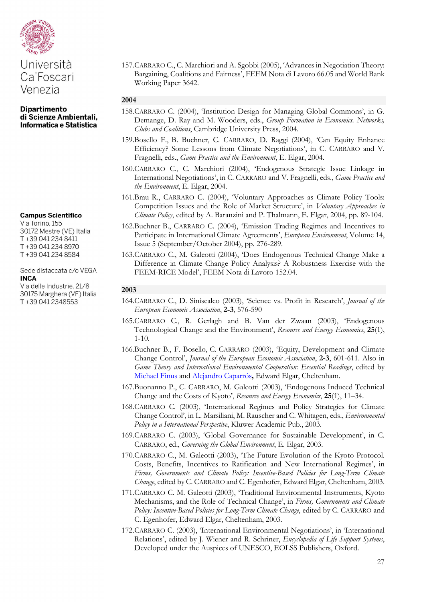

#### **Campus Scientifico**

Via Torino, 155 30172 Mestre (VE) Italia T+39 041 234 8411 T+39 041 234 8970 T+39 041 234 8584

#### Sede distaccata c/o VEGA **INCA**

Via delle Industrie, 21/8 30175 Marghera (VE) Italia T+39 041 2348553

157.CARRARO C., C. Marchiori and A. Sgobbi (2005), 'Advances in Negotiation Theory: Bargaining, Coalitions and Fairness', FEEM Nota di Lavoro 66.05 and World Bank Working Paper 3642.

## **2004**

- 158.CARRARO C. (2004), 'Institution Design for Managing Global Commons', in G. Demange, D. Ray and M. Wooders, eds., *Group Formation in Economics. Networks, Clubs and Coalitions*, Cambridge University Press, 2004.
- 159.Bosello F., B. Buchner, C. CARRARO, D. Raggi (2004), 'Can Equity Enhance Efficiency? Some Lessons from Climate Negotiations', in C. CARRARO and V. Fragnelli, eds., *Game Practice and the Environment*, E. Elgar, 2004.
- 160.CARRARO C., C. Marchiori (2004), 'Endogenous Strategic Issue Linkage in International Negotiations', in C. CARRARO and V. Fragnelli, eds., *Game Practice and the Environment*, E. Elgar, 2004.
- 161.Brau R., CARRARO C. (2004), 'Voluntary Approaches as Climate Policy Tools: Competition Issues and the Role of Market Structure', in *Voluntary Approaches in Climate Policy*, edited by A. Baranzini and P. Thalmann, E. Elgar, 2004, pp. 89-104.
- 162.Buchner B., CARRARO C. (2004), 'Emission Trading Regimes and Incentives to Participate in International Climate Agreements', *European Environment*, Volume 14, Issue 5 (September/October 2004), pp. 276-289.
- 163.CARRARO C., M. Galeotti (2004), 'Does Endogenous Technical Change Make a Difference in Climate Change Policy Analysis? A Robustness Exercise with the FEEM-RICE Model', FEEM Nota di Lavoro 152.04.

- 164.CARRARO C., D. Siniscalco (2003), 'Science vs. Profit in Research', *Journal of the European Economic Association*, **2-3**, 576-590
- 165.CARRARO C., R. Gerlagh and B. Van der Zwaan (2003), 'Endogenous Technological Change and the Environment', *Resource and Energy Economics*, **25**(1), 1-10.
- 166.Buchner B., F. Bosello, C. CARRARO (2003), 'Equity, Development and Climate Change Control', *Journal of the European Economic Association*, **2-3**, 601-611. Also in *Game Theory and International Environmental Cooperation: Essential Readings*, edited by [Michael Finus](http://www.e-elgar.com/search_results.lasso?Author_Name_grp=Michael%20Finus) and [Alejandro Caparrós](http://www.e-elgar.com/search_results.lasso?Author_Name_grp=Alejandro%20%20Caparr%C3%B3s)**,** Edward Elgar, Cheltenham.
- 167.Buonanno P., C. CARRARO, M. Galeotti (2003), 'Endogenous Induced Technical Change and the Costs of Kyoto', *Resource and Energy Economics*, **25**(1), 11–34.
- 168.CARRARO C. (2003), 'International Regimes and Policy Strategies for Climate Change Control', in L. Marsiliani, M. Rauscher and C. Whitagen, eds., *Environmental Policy in a International Perspective*, Kluwer Academic Pub., 2003.
- 169.CARRARO C. (2003), 'Global Governance for Sustainable Development', in C. CARRARO, ed., *Governing the Global Environment*, E. Elgar, 2003.
- 170.CARRARO C., M. Galeotti (2003), 'The Future Evolution of the Kyoto Protocol. Costs, Benefits, Incentives to Ratification and New International Regimes', in *Firms, Governments and Climate Policy: Incentive-Based Policies for Long-Term Climate Change*, edited by C. CARRARO and C. Egenhofer, Edward Elgar, Cheltenham, 2003.
- 171.CARRARO C. M. Galeotti (2003), 'Traditional Environmental Instruments, Kyoto Mechanisms, and the Role of Technical Change', in *Firms, Governments and Climate Policy: Incentive-Based Policies for Long-Term Climate Change*, edited by C. CARRARO and C. Egenhofer, Edward Elgar, Cheltenham, 2003.
- 172.CARRARO C. (2003), 'International Environmental Negotiations', in 'International Relations', edited by J. Wiener and R. Schriner, *Encyclopedia of Life Support Systems*, Developed under the Auspices of UNESCO, EOLSS Publishers, Oxford.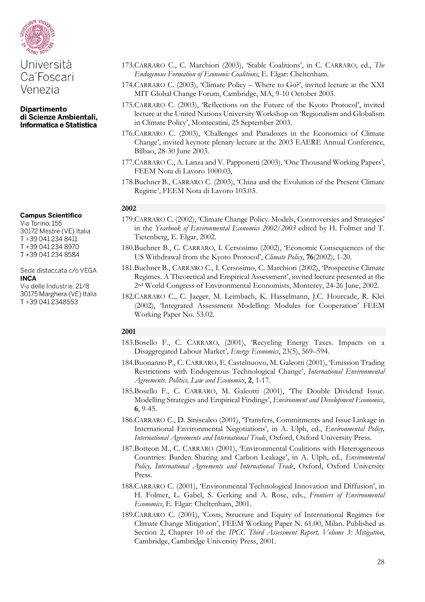

# **Campus Scientifico**

Via Torino, 155 30172 Mestre (VE) Italia T+39 041 234 8411 T+39 041 234 8970 T+39 041 234 8584

Sede distaccata c/o VEGA **INCA** 

Via delle Industrie, 21/8 30175 Marghera (VE) Italia T+39 041 2348553

- 173.CARRARO C., C. Marchiori (2003), 'Stable Coalitions', in C. CARRARO, ed., *The Endogenous Formation of Economic Coalitions*, E. Elgar: Cheltenham.
- 174.CARRARO C. (2003), 'Climate Policy Where to Go?', invited lecture at the XXI MIT Global Change Forum, Cambridge, MA, 9-10 October 2003.
- 175.CARRARO C. (2003), 'Reflections on the Future of the Kyoto Protocol', invited lecture at the United Nations University Workshop on 'Regionalism and Globalism in Climate Policy', Montecatini, 25 September 2003.
- 176.CARRARO C. (2003), 'Challenges and Paradoxes in the Economics of Climate Change', invited keynote plenary lecture at the 2003 EAERE Annual Conference, Bilbao, 28-30 June 2003.
- 177.CARRARO C., A. Lanza and V. Papponetti (2003), 'One Thousand Working Papers', FEEM Nota di Lavoro 1000.03,
- 178.Buchner B., CARRARO C. (2003), 'China and the Evolution of the Present Climate Regime', FEEM Nota di Lavoro 103.03.

#### **2002**

- 179.CARRARO C. (2002), 'Climate Change Policy. Models, Controversies and Strategies' in the *Yearbook of Environmental Economics 2002/2003* edited by H. Folmer and T. Tietenberg, E. Elgar, 2002.
- 180.Buchner B., C. CARRARO, I. Cersosimo (2002), 'Economic Consequences of the US Withdrawal from the Kyoto Protocol', *Climate Policy*, **76**(2002), 1-20.
- 181.Buchner B., CARRARO C., I. Cersosimo, C. Marchiori (2002), 'Prospective Climate Regimes. A Theoretical and Empirical Assessment', invited lecture presented at the 2nd World Congress of Environmental Economists, Monterey, 24-26 June, 2002.
- 182.CARRARO C., C. Jaeger, M. Leimbach, K. Hasselmann, J.C. Hourcade, R. Klei (2002), 'Integrated Assessment Modelling: Modules for Cooperation' FEEM Working Paper No. 53.02.

- 183.Bosello F., C. CARRARO, (2001), 'Recycling Energy Taxes. Impacts on a Disaggregated Labour Market', *Energy Economics*, 23(5), 569–594.
- 184.Buonanno P., C. CARRARO, E. Castelnuovo, M. Galeotti (2001), 'Emission Trading Restrictions with Endogenous Technological Change', *International Environmental Agreements. Politics, Law and Economics*, **2**, 1-17.
- 185.Bosello F., C. CARRARO, M. Galeotti (2001), 'The Double Dividend Issue. Modelling Strategies and Empirical Findings', *Environment and Development Economics*, **6**, 9-45.
- 186.CARRARO C., D. Siniscalco (2001), 'Transfers, Commitments and Issue Linkage in International Environmental Negotiations', in A. Ulph, ed., *Environmental Policy, International Agreements and International Trade*, Oxford, Oxford University Press.
- 187.Botteon M., C. CARRARO (2001), 'Environmental Coalitions with Heterogeneous Countries: Burden Sharing and Carbon Leakage', in A. Ulph, ed., *Environmental Policy, International Agreements and International Trade*, Oxford, Oxford University Press.
- 188.CARRARO C. (2001), 'Environmental Technological Innovation and Diffusion', in H. Folmer, L. Gabel, S. Gerking and A. Rose, eds., *Frontiers of Environmental Economics*, E. Elgar: Cheltenham, 2001.
- 189.CARRARO C. (2001), 'Costs, Structure and Equity of International Regimes for Climate Change Mitigation', FEEM Working Paper N. 61.00, Milan. Published as Section 2, Chapter 10 of the *IPCC Third Assessment Report, Volume 3: Mitigation*, Cambridge, Cambridge University Press, 2001.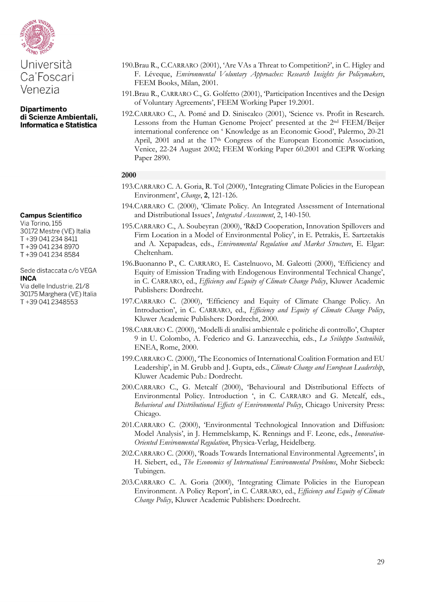

**Dipartimento** di Scienze Ambientali, Informatica e Statistica

#### **Campus Scientifico**

Via Torino, 155 30172 Mestre (VE) Italia T+39 041 234 8411 T+39 041 234 8970 T+39 041 234 8584

#### Sede distaccata c/o VEGA **INCA**

Via delle Industrie, 21/8 30175 Marghera (VE) Italia T+39 041 2348553

- 190.Brau R., C.CARRARO (2001), 'Are VAs a Threat to Competition?', in C. Higley and F. Léveque, *Environmental Voluntary Approaches: Research Insights for Policymakers*, FEEM Books, Milan, 2001.
- 191.Brau R., CARRARO C., G. Golfetto (2001), 'Participation Incentives and the Design of Voluntary Agreements', FEEM Working Paper 19.2001.
- 192.CARRARO C., A. Pomé and D. Siniscalco (2001), 'Science vs. Profit in Research. Lessons from the Human Genome Project' presented at the 2nd FEEM/Beijer international conference on ' Knowledge as an Economic Good', Palermo, 20-21 April, 2001 and at the 17<sup>th</sup> Congress of the European Economic Association, Venice, 22-24 August 2002; FEEM Working Paper 60.2001 and CEPR Working Paper 2890.

- 193.CARRARO C. A. Goria, R. Tol (2000), 'Integrating Climate Policies in the European Environment', *Change*, **2**, 121-126.
- 194.CARRARO C. (2000), 'Climate Policy. An Integrated Assessment of International and Distributional Issues', *Integrated Assessment*, 2, 140-150.
- 195.CARRARO C., A. Soubeyran (2000), 'R&D Cooperation, Innovation Spillovers and Firm Location in a Model of Environmental Policy', in E. Petrakis, E. Sartzetakis and A. Xepapadeas, eds., *Environmental Regulation and Market Structure*, E. Elgar: Cheltenham.
- 196.Buonanno P., C. CARRARO, E. Castelnuovo, M. Galeotti (2000), 'Efficiency and Equity of Emission Trading with Endogenous Environmental Technical Change', in C. CARRARO, ed., *Efficiency and Equity of Climate Change Policy*, Kluwer Academic Publishers: Dordrecht.
- 197.CARRARO C. (2000), 'Efficiency and Equity of Climate Change Policy. An Introduction', in C. CARRARO, ed., *Efficiency and Equity of Climate Change Policy*, Kluwer Academic Publishers: Dordrecht, 2000.
- 198.CARRARO C. (2000), 'Modelli di analisi ambientale e politiche di controllo', Chapter 9 in U. Colombo, A. Federico and G. Lanzavecchia, eds., *Lo Sviluppo Sostenibile*, ENEA, Rome, 2000.
- 199.CARRARO C. (2000), 'The Economics of International Coalition Formation and EU Leadership', in M. Grubb and J. Gupta, eds., *Climate Change and European Leadership*, Kluwer Academic Pub.: Dordrecht.
- 200.CARRARO C., G. Metcalf (2000), 'Behavioural and Distributional Effects of Environmental Policy. Introduction ', in C. CARRARO and G. Metcalf, eds., *Behavioral and Distributional Effects of Environmental Policy*, Chicago University Press: Chicago.
- 201.CARRARO C. (2000), 'Environmental Technological Innovation and Diffusion: Model Analysis', in J. Hemmelskamp, K. Rennings and F. Leone, eds., *Innovation-Oriented Environmental Regulation*, Physica-Verlag, Heidelberg.
- 202.CARRARO C. (2000), 'Roads Towards International Environmental Agreements', in H. Siebert, ed., *The Economics of International Environmental Problems*, Mohr Siebeck: Tubingen.
- 203.CARRARO C. A. Goria (2000), 'Integrating Climate Policies in the European Environment. A Policy Report', in C. CARRARO, ed., *Efficiency and Equity of Climate Change Policy*, Kluwer Academic Publishers: Dordrecht.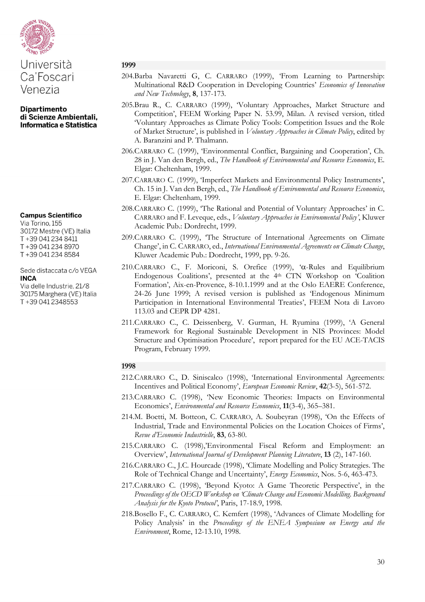

Ca'Foscari Venezia

**Dipartimento** di Scienze Ambientali, Informatica e Statistica

#### **Campus Scientifico**

Via Torino, 155 30172 Mestre (VE) Italia T+39 041 234 8411 T+39 041 234 8970 T+39 041 234 8584

#### Sede distaccata c/o VEGA **INCA**

Via delle Industrie, 21/8 30175 Marghera (VE) Italia T+39 041 2348553

#### **1999**

- 204.Barba Navaretti G, C. CARRARO (1999), 'From Learning to Partnership: Multinational R&D Cooperation in Developing Countries' *Economics of Innovation and New Technology*, **8**, 137-173.
- 205.Brau R., C. CARRARO (1999), 'Voluntary Approaches, Market Structure and Competition', FEEM Working Paper N. 53.99, Milan. A revised version, titled 'Voluntary Approaches as Climate Policy Tools: Competition Issues and the Role of Market Structure', is published in *Voluntary Approaches in Climate Policy*, edited by A. Baranzini and P. Thalmann.
- 206.CARRARO C. (1999), 'Environmental Conflict, Bargaining and Cooperation', Ch. 28 in J. Van den Bergh, ed., *The Handbook of Environmental and Resource Economics*, E. Elgar: Cheltenham, 1999.
- 207.CARRARO C. (1999), 'Imperfect Markets and Environmental Policy Instruments', Ch. 15 in J. Van den Bergh, ed., *The Handbook of Environmental and Resource Economics*, E. Elgar: Cheltenham, 1999.
- 208.CARRARO C. (1999), 'The Rational and Potential of Voluntary Approaches' in C. CARRARO and F. Leveque, eds., *Voluntary Approaches in Environmental Policy'*, Kluwer Academic Pub.: Dordrecht, 1999.
- 209.CARRARO C. (1999), 'The Structure of International Agreements on Climate Change', in C. CARRARO, ed., *International Environmental Agreements on Climate Change*, Kluwer Academic Pub.: Dordrecht, 1999, pp. 9-26.
- 210.CARRARO C., F. Moriconi, S. Orefice (1999), 'α-Rules and Equilibrium Endogenous Coalitions', presented at the 4<sup>th</sup> CTN Workshop on 'Coalition Formation', Aix-en-Provence, 8-10.1.1999 and at the Oslo EAERE Conference, 24-26 June 1999; A revised version is published as 'Endogenous Minimum Participation in International Environmental Treaties', FEEM Nota di Lavoro 113.03 and CEPR DP 4281.
- 211.CARRARO C., C. Deissenberg, V. Gurman, H. Ryumina (1999), 'A General Framework for Regional Sustainable Development in NIS Provinces: Model Structure and Optimisation Procedure', report prepared for the EU ACE-TACIS Program, February 1999.

- 212.CARRARO C., D. Siniscalco (1998), 'International Environmental Agreements: Incentives and Political Economy', *European Economic Review*, **42**(3-5), 561-572.
- 213.CARRARO C. (1998), 'New Economic Theories: Impacts on Environmental Economics', *Environmental and Resource Economics*, **11**(3-4), 365–381.
- 214.M. Boetti, M. Botteon, C. CARRARO, A. Soubeyran (1998), 'On the Effects of Industrial, Trade and Environmental Policies on the Location Choices of Firms', *Revue d'Economie Industrielle*, **83**, 63-80.
- 215.CARRARO C. (1998),'Environmental Fiscal Reform and Employment: an Overview', *International Journal of Development Planning Literature*, **13** (2), 147-160.
- 216.CARRARO C., J.C. Hourcade (1998), 'Climate Modelling and Policy Strategies. The Role of Technical Change and Uncertainty', *Energy Economics*, Nos. 5-6, 463-473.
- 217.CARRARO C. (1998), 'Beyond Kyoto: A Game Theoretic Perspective', in the *Proceedings of the OECD Workshop on 'Climate Change and Economic Modelling. Background Analysis for the Kyoto Protocol'*, Paris, 17-18.9, 1998.
- 218.Bosello F., C. CARRARO, C. Kemfert (1998), 'Advances of Climate Modelling for Policy Analysis' in the *Proceedings of the ENEA Symposium on Energy and the Environment*, Rome, 12-13.10, 1998.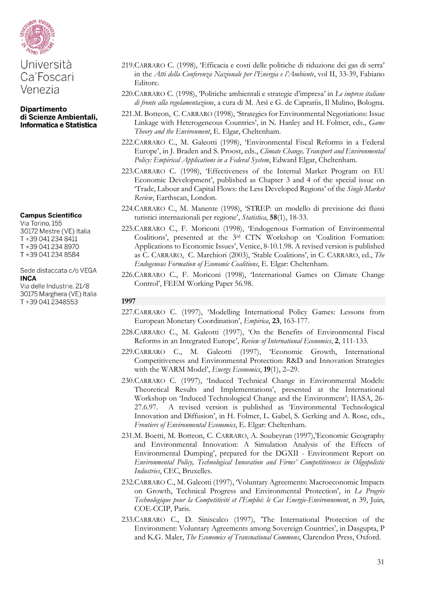

Ca'Foscari Venezia

**Dipartimento** di Scienze Ambientali, Informatica e Statistica

#### **Campus Scientifico**

Via Torino, 155 30172 Mestre (VE) Italia T+39 041 234 8411 T+39 041 234 8970 T+39 041 234 8584

Sede distaccata c/o VEGA **INCA** 

Via delle Industrie, 21/8 30175 Marghera (VE) Italia T+39 041 2348553

- 219.CARRARO C. (1998), 'Efficacia e costi delle politiche di riduzione dei gas di serra' in the *Atti della Conferenza Nazionale per l'Energia e l'Ambiente*, vol II, 33-39, Fabiano Editore.
- 220.CARRARO C. (1998), 'Politiche ambientali e strategie d'impresa' in *Le imprese italiane di fronte alla regolamentazione*, a cura di M. Arsì e G. de Caprariis, Il Mulino, Bologna.
- 221.M. Botteon, C. CARRARO (1998), 'Strategies for Environmental Negotiations: Issue Linkage with Heterogeneous Countries', in N. Hanley and H. Folmer, eds., *Game Theory and the Environment*, E. Elgar, Cheltenham.
- 222.CARRARO C., M. Galeotti (1998), 'Environmental Fiscal Reforms in a Federal Europe', in J. Braden and S. Proost, eds., *Climate Change, Transport and Environmental Policy: Empirical Applications in a Federal System*, Edward Elgar, Cheltenham.
- 223.CARRARO C. (1998), 'Effectiveness of the Internal Market Program on EU Economic Development', published as Chapter 3 and 4 of the special issue on 'Trade, Labour and Capital Flows: the Less Developed Regions' of the *Single Market Review*, Earthscan, London.
- 224.CARRARO C., M. Manente (1998), 'STREP: un modello di previsione dei flussi turistici internazionali per regione', *Statistica*, **58**(1), 18-33.
- 225.CARRARO C., F. Moriconi (1998), 'Endogenous Formation of Environmental Coalitions', presented at the 3rd CTN Workshop on 'Coalition Formation: Applications to Economic Issues', Venice, 8-10.1.98. A revised version is published as C. CARRARO, C. Marchiori (2003), 'Stable Coalitions', in C. CARRARO, ed., *The Endogenous Formation of Economic Coalitions*, E. Elgar: Cheltenham.
- 226.CARRARO C., F. Moriconi (1998), 'International Games on Climate Change Control', FEEM Working Paper 56.98.

- 227.CARRARO C. (1997), 'Modelling International Policy Games: Lessons from European Monetary Coordination', *Empirica*, **23**, 163-177.
- 228.CARRARO C., M. Galeotti (1997), 'On the Benefits of Environmental Fiscal Reforms in an Integrated Europe', *Review of International Economics*, **2**, 111-133.
- 229.CARRARO C., M. Galeotti (1997), 'Economic Growth, International Competitiveness and Environmental Protection: R&D and Innovation Strategies with the WARM Model', *Energy Economics*, **19**(1), 2–29.
- 230.CARRARO C. (1997), 'Induced Technical Change in Environmental Models: Theoretical Results and Implementations', presented at the International Workshop on 'Induced Technological Change and the Environment'; IIASA, 26- 27.6.97. A revised version is published as 'Environmental Technological Innovation and Diffusion', in H. Folmer, L. Gabel, S. Gerking and A. Rose, eds., *Frontiers of Environmental Economics*, E. Elgar: Cheltenham.
- 231.M. Boetti, M. Botteon, C. CARRARO, A. Soubeyran (1997),'Economic Geography and Environmental Innovation: A Simulation Analysis of the Effects of Environmental Dumping', prepared for the DGXII - Environment Report on *Environmental Policy, Technological Innovation and Firms' Competitiveness in Oligopolistic Industries*, CEC, Bruxelles.
- 232.CARRARO C., M. Galeotti (1997), 'Voluntary Agreements: Macroeconomic Impacts on Growth, Technical Progress and Environmental Protection', in *Le Progrès Technologique pour la Competitivité et l'Emploi: le Cas Energie-Environnement*, n 39, Juin, COE-CCIP, Paris.
- 233.CARRARO C., D. Siniscalco (1997), 'The International Protection of the Environment: Voluntary Agreements among Sovereign Countries', in Dasgupta, P and K.G. Maler, *The Economics of Transnational Commons*, Clarendon Press, Oxford.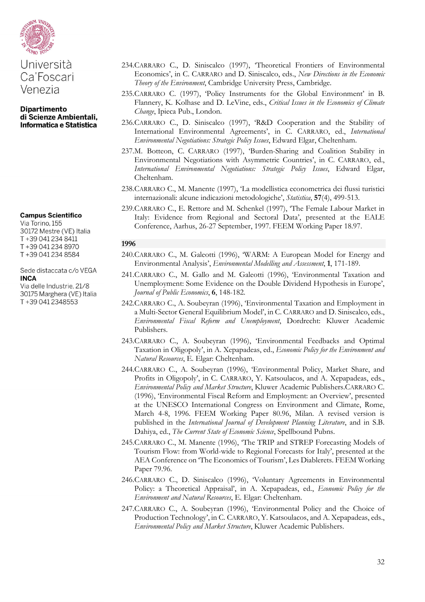

#### **Campus Scientifico**

Via Torino, 155 30172 Mestre (VE) Italia T+39 041 234 8411 T+39 041 234 8970 T+39 041 234 8584

Sede distaccata c/o VEGA **INCA** 

Via delle Industrie, 21/8 30175 Marghera (VE) Italia T+39 041 2348553

- 234.CARRARO C., D. Siniscalco (1997), 'Theoretical Frontiers of Environmental Economics', in C. CARRARO and D. Siniscalco, eds., *New Directions in the Economic Theory of the Environment*, Cambridge University Press, Cambridge.
- 235.CARRARO C. (1997), 'Policy Instruments for the Global Environment' in B. Flannery, K. Kolhase and D. LeVine, eds., *Critical Issues in the Economics of Climate Change*, Ipieca Pub., London.
- 236.CARRARO C., D. Siniscalco (1997), 'R&D Cooperation and the Stability of International Environmental Agreements', in C. CARRARO, ed., *International Environmental Negotiations: Strategic Policy Issues*, Edward Elgar, Cheltenham.
- 237.M. Botteon, C. CARRARO (1997), 'Burden-Sharing and Coalition Stability in Environmental Negotiations with Asymmetric Countries', in C. CARRARO, ed., *International Environmental Negotiations: Strategic Policy Issues*, Edward Elgar, Cheltenham.
- 238.CARRARO C., M. Manente (1997), 'La modellistica econometrica dei flussi turistici internazionali: alcune indicazioni metodologiche', *Statistica*, **57**(4), 499-513.
- 239.CARRARO C., E. Rettore and M. Schenkel (1997), 'The Female Labour Market in Italy: Evidence from Regional and Sectoral Data', presented at the EALE Conference, Aarhus, 26-27 September, 1997. FEEM Working Paper 18.97.

- 240.CARRARO C., M. Galeotti (1996), 'WARM: A European Model for Energy and Environmental Analysis', *Environmental Modelling and Assessment*, **1**, 171-189.
- 241.CARRARO C., M. Gallo and M. Galeotti (1996), 'Environmental Taxation and Unemployment: Some Evidence on the Double Dividend Hypothesis in Europe', *Journal of Public Economics*, **6**, 148-182.
- 242.CARRARO C., A. Soubeyran (1996), 'Environmental Taxation and Employment in a Multi-Sector General Equilibrium Model', in C. CARRARO and D. Siniscalco, eds., *Environmental Fiscal Reform and Unemployment*, Dordrecht: Kluwer Academic Publishers.
- 243.CARRARO C., A. Soubeyran (1996), 'Environmental Feedbacks and Optimal Taxation in Oligopoly', in A. Xepapadeas, ed., *Economic Policy for the Environment and Natural Resources*, E. Elgar: Cheltenham.
- 244.CARRARO C., A. Soubeyran (1996), 'Environmental Policy, Market Share, and Profits in Oligopoly', in C. CARRARO, Y. Katsoulacos, and A. Xepapadeas, eds., *Environmental Policy and Market Structure*, Kluwer Academic Publishers.CARRARO C. (1996), 'Environmental Fiscal Reform and Employment: an Overview', presented at the UNESCO International Congress on Environment and Climate, Rome, March 4-8, 1996. FEEM Working Paper 80.96, Milan. A revised version is published in the *International Journal of Development Planning Literature*, and in S.B. Dahiya, ed., *The Current State of Economic Science*, Spellbound Pubns.
- 245.CARRARO C., M. Manente (1996), 'The TRIP and STREP Forecasting Models of Tourism Flow: from World-wide to Regional Forecasts for Italy', presented at the AEA Conference on 'The Economics of Tourism', Les Diablerets. FEEM Working Paper 79.96.
- 246.CARRARO C., D. Siniscalco (1996), 'Voluntary Agreements in Environmental Policy: a Theoretical Appraisal', in A. Xepapadeas, ed., *Economic Policy for the Environment and Natural Resources*, E. Elgar: Cheltenham.
- 247.CARRARO C., A. Soubeyran (1996), 'Environmental Policy and the Choice of Production Technology', in C. CARRARO, Y. Katsoulacos, and A. Xepapadeas, eds., *Environmental Policy and Market Structure*, Kluwer Academic Publishers.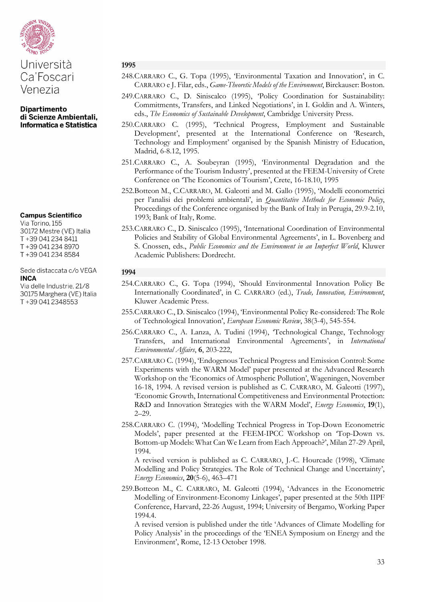

# Università Ca'Foscari Venezia

**Dipartimento** di Scienze Ambientali, Informatica e Statistica

#### **Campus Scientifico**

Via Torino, 155 30172 Mestre (VE) Italia T+39 041 234 8411 T+39 041 234 8970 T+39 041 234 8584

#### Sede distaccata c/o VEGA **INCA**

Via delle Industrie, 21/8 30175 Marghera (VE) Italia T+39 041 2348553

#### **1995**

- 248.CARRARO C., G. Topa (1995), 'Environmental Taxation and Innovation', in C. CARRARO e J. Filar, eds., *Game-Theoretic Models of the Environment*, Birckauser: Boston.
- 249.CARRARO C., D. Siniscalco (1995), 'Policy Coordination for Sustainability: Commitments, Transfers, and Linked Negotiations', in I. Goldin and A. Winters, eds., *The Economics of Sustainable Development*, Cambridge University Press.
- 250.CARRARO C. (1995), 'Technical Progress, Employment and Sustainable Development', presented at the International Conference on 'Research, Technology and Employment' organised by the Spanish Ministry of Education, Madrid, 6-8.12, 1995.
- 251.CARRARO C., A. Soubeyran (1995), 'Environmental Degradation and the Performance of the Tourism Industry', presented at the FEEM-University of Crete Conference on 'The Economics of Tourism', Crete, 16-18.10, 1995
- 252.Botteon M., C.CARRARO, M. Galeotti and M. Gallo (1995), 'Modelli econometrici per l'analisi dei problemi ambientali', in *Quantitative Methods for Economic Policy*, Proceedings of the Conference organised by the Bank of Italy in Perugia, 29.9-2.10, 1993; Bank of Italy, Rome.
- 253.CARRARO C., D. Siniscalco (1995), 'International Coordination of Environmental Policies and Stability of Global Environmental Agreements', in L. Bovenberg and S. Cnossen, eds., *Public Economics and the Environment in an Imperfect World*, Kluwer Academic Publishers: Dordrecht.

# **1994**

- 254.CARRARO C., G. Topa (1994), 'Should Environmental Innovation Policy Be Internationally Coordinated', in C. CARRARO (ed.), *Trade, Innovation, Environment*, Kluwer Academic Press.
- 255.CARRARO C., D. Siniscalco (1994), 'Environmental Policy Re-considered: The Role of Technological Innovation', *European Economic Review*, 38(3-4), 545-554.
- 256.CARRARO C., A. Lanza, A. Tudini (1994), 'Technological Change, Technology Transfers, and International Environmental Agreements', in *International Environmental Affairs*, **6**, 203-222,
- 257.CARRARO C. (1994), 'Endogenous Technical Progress and Emission Control: Some Experiments with the WARM Model' paper presented at the Advanced Research Workshop on the 'Economics of Atmospheric Pollution', Wageningen, November 16-18, 1994. A revised version is published as C. CARRARO, M. Galeotti (1997), 'Economic Growth, International Competitiveness and Environmental Protection: R&D and Innovation Strategies with the WARM Model', *Energy Economics*, **19**(1), 2–29.
- 258.CARRARO C. (1994), 'Modelling Technical Progress in Top-Down Econometric Models', paper presented at the FEEM-IPCC Workshop on 'Top-Down vs. Bottom-up Models: What Can We Learn from Each Approach?', Milan 27-29 April, 1994.

A revised version is published as C. CARRARO, J.-C. Hourcade (1998), 'Climate Modelling and Policy Strategies. The Role of Technical Change and Uncertainty', *Energy Economics*, **20**(5-6), 463–471

259.Botteon M., C. CARRARO, M. Galeotti (1994), 'Advances in the Econometric Modelling of Environment-Economy Linkages', paper presented at the 50th IIPF Conference, Harvard, 22-26 August, 1994; University of Bergamo, Working Paper 1994.4.

A revised version is published under the title 'Advances of Climate Modelling for Policy Analysis' in the proceedings of the 'ENEA Symposium on Energy and the Environment', Rome, 12-13 October 1998.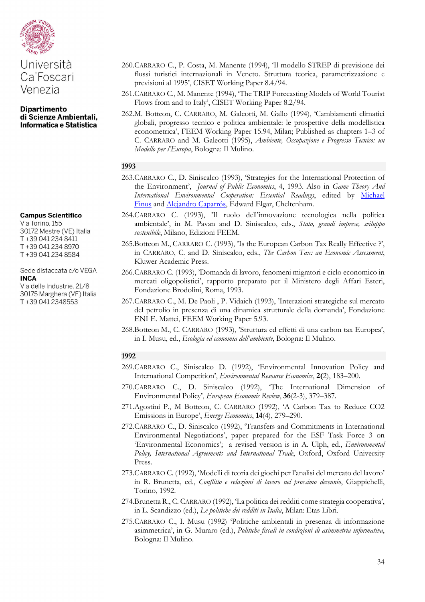

#### **Campus Scientifico**

Via Torino, 155 30172 Mestre (VE) Italia T+39 041 234 8411 T+39 041 234 8970 T+39 041 234 8584

Sede distaccata c/o VEGA **INCA** 

Via delle Industrie, 21/8 30175 Marghera (VE) Italia T+39 041 2348553

- 260.CARRARO C., P. Costa, M. Manente (1994), 'Il modello STREP di previsione dei flussi turistici internazionali in Veneto. Struttura teorica, parametrizzazione e previsioni al 1995', CISET Working Paper 8.4/94.
- 261.CARRARO C., M. Manente (1994), 'The TRIP Forecasting Models of World Tourist Flows from and to Italy', CISET Working Paper 8.2/94.
- 262.M. Botteon, C. CARRARO, M. Galeotti, M. Gallo (1994), 'Cambiamenti climatici globali, progresso tecnico e politica ambientale: le prospettive della modellistica econometrica', FEEM Working Paper 15.94, Milan; Published as chapters 1–3 of C. CARRARO and M. Galeotti (1995), *Ambiente, Occupazione e Progresso Tecnico: un Modello per l'Europa*, Bologna: Il Mulino.

#### **1993**

- 263.CARRARO C., D. Siniscalco (1993), 'Strategies for the International Protection of the Environment', *Journal of Public Economics*, 4, 1993. Also in *Game Theory And International Environmental Cooperation: Essential Readings*, edited by [Michael](http://www.e-elgar.com/search_results.lasso?Author_Name_grp=Michael%20Finus)  [Finus](http://www.e-elgar.com/search_results.lasso?Author_Name_grp=Michael%20Finus) and [Alejandro Caparrós,](http://www.e-elgar.com/search_results.lasso?Author_Name_grp=Alejandro%20%20Caparr%C3%B3s) Edward Elgar, Cheltenham.
- 264.CARRARO C. (1993), 'Il ruolo dell'innovazione tecnologica nella politica ambientale', in M. Pavan and D. Siniscalco, eds., *Stato, grandi imprese, sviluppo sostenibile*, Milano, Edizioni FEEM.
- 265.Botteon M., CARRARO C. (1993), 'Is the European Carbon Tax Really Effective ?', in CARRARO, C. and D. Siniscalco, eds., *The Carbon Tax: an Economic Assessment*, Kluwer Academic Press.
- 266.CARRARO C. (1993), 'Domanda di lavoro, fenomeni migratori e ciclo economico in mercati oligopolistici', rapporto preparato per il Ministero degli Affari Esteri, Fondazione Brodolini, Roma, 1993.
- 267.CARRARO C., M. De Paoli , P. Vidaich (1993), 'Interazioni strategiche sul mercato del petrolio in presenza di una dinamica strutturale della domanda', Fondazione ENI E. Mattei, FEEM Working Paper 5.93.
- 268.Botteon M., C. CARRARO (1993), 'Struttura ed effetti di una carbon tax Europea', in I. Musu, ed., *Ecologia ed economia dell'ambiente*, Bologna: Il Mulino.

- 269.CARRARO C., Siniscalco D. (1992), 'Environmental Innovation Policy and International Competition', *Environmental Resource Economics*, **2(**2), 183–200.
- 270.CARRARO C., D. Siniscalco (1992), 'The International Dimension of Environmental Policy', *European Economic Review*, **36**(2-3), 379–387.
- 271.Agostini P., M Botteon, C. CARRARO (1992), 'A Carbon Tax to Reduce CO2 Emissions in Europe', *Energy Economics*, **14**(4), 279–290.
- 272.CARRARO C., D. Siniscalco (1992), 'Transfers and Commitments in International Environmental Negotiations', paper prepared for the ESF Task Force 3 on 'Environmental Economics'; a revised version is in A. Ulph, ed., *Environmental Policy, International Agreements and International Trade*, Oxford, Oxford University Press.
- 273.CARRARO C. (1992), 'Modelli di teoria dei giochi per l'analisi del mercato del lavoro' in R. Brunetta, ed., *Conflitto e relazioni di lavoro nel prossimo decennio*, Giappichelli, Torino, 1992.
- 274.Brunetta R., C. CARRARO (1992), 'La politica dei redditi come strategia cooperativa', in L. Scandizzo (ed.), *Le politiche dei redditi in Italia*, Milan: Etas Libri.
- 275.CARRARO C., I. Musu (1992) 'Politiche ambientali in presenza di informazione asimmetrica', in G. Muraro (ed.), *Politiche fiscali in condizioni di asimmetria informativa*, Bologna: Il Mulino.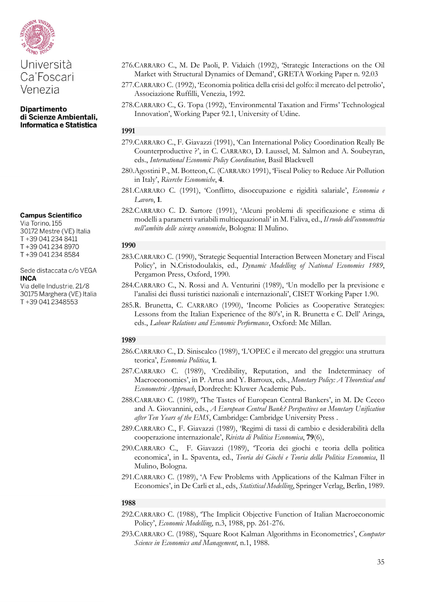

**Campus Scientifico** 

Via Torino, 155 30172 Mestre (VE) Italia T+39 041 234 8411 T+39 041 234 8970 T+39 041 234 8584

Sede distaccata c/o VEGA **INCA** 

Via delle Industrie, 21/8 30175 Marghera (VE) Italia T+39 041 2348553

- 276.CARRARO C., M. De Paoli, P. Vidaich (1992), 'Strategic Interactions on the Oil Market with Structural Dynamics of Demand', GRETA Working Paper n. 92.03
- 277.CARRARO C. (1992), 'Economia politica della crisi del golfo: il mercato del petrolio', Associazione Ruffilli, Venezia, 1992.
- 278.CARRARO C., G. Topa (1992), 'Environmental Taxation and Firms' Technological Innovation', Working Paper 92.1, University of Udine.

# **1991**

- 279.CARRARO C., F. Giavazzi (1991), 'Can International Policy Coordination Really Be Counterproductive ?', in C. CARRARO, D. Laussel, M. Salmon and A. Soubeyran, eds., *International Economic Policy Coordination*, Basil Blackwell
- 280.Agostini P., M. Botteon, C. (CARRARO 1991), 'Fiscal Policy to Reduce Air Pollution in Italy', *Ricerche Economiche*, **4**.
- 281.CARRARO C. (1991), 'Conflitto, disoccupazione e rigidità salariale', *Economia e Lavoro*, **1**.
- 282.CARRARO C. D. Sartore (1991), 'Alcuni problemi di specificazione e stima di modelli a parametri variabili multiequazionali' in M. Faliva, ed., *Il ruolo dell'econometria nell'ambito delle scienze economiche*, Bologna: Il Mulino.

#### **1990**

- 283.CARRARO C. (1990), 'Strategic Sequential Interaction Between Monetary and Fiscal Policy', in N.Cristodoulakis, ed., *Dynamic Modelling of National Economies 1989*, Pergamon Press, Oxford, 1990.
- 284.CARRARO C., N. Rossi and A. Venturini (1989), 'Un modello per la previsione e l'analisi dei flussi turistici nazionali e internazionali', CISET Working Paper 1.90.
- 285.R. Brunetta, C. CARRARO (1990), 'Income Policies as Cooperative Strategies: Lessons from the Italian Experience of the 80's', in R. Brunetta e C. Dell' Aringa, eds., *Labour Relations and Economic Performance*, Oxford: Mc Millan.

# **1989**

- 286.CARRARO C., D. Siniscalco (1989), 'L'OPEC e il mercato del greggio: una struttura teorica', *Economia Politica*, **1**.
- 287.CARRARO C. (1989), 'Credibility, Reputation, and the Indeterminacy of Macroeconomics', in P. Artus and Y. Barroux, eds., *Monetary Policy: A Theoretical and Econometric Approach*, Dordrecht: Kluwer Academic Pub..
- 288.CARRARO C. (1989), 'The Tastes of European Central Bankers', in M. De Cecco and A. Giovannini, eds., *A European Central Bank? Perspectives on Monetary Unification after Ten Years of the EMS*, Cambridge: Cambridge University Press .
- 289.CARRARO C., F. Giavazzi (1989), 'Regimi di tassi di cambio e desiderabilità della cooperazione internazionale', *Rivista di Politica Economica*, **79**(6),
- 290.CARRARO C., F. Giavazzi (1989), 'Teoria dei giochi e teoria della politica economica', in L. Spaventa, ed., *Teoria dei Giochi e Teoria della Politica Economica*, Il Mulino, Bologna.
- 291.CARRARO C. (1989), 'A Few Problems with Applications of the Kalman Filter in Economics', in De Carli et al., eds, *Statistical Modelling*, Springer Verlag, Berlin, 1989.

- 292.CARRARO C. (1988), 'The Implicit Objective Function of Italian Macroeconomic Policy', *Economic Modelling*, n.3, 1988, pp. 261-276.
- 293.CARRARO C. (1988), 'Square Root Kalman Algorithms in Econometrics', *Computer Science in Economics and Management*, n.1, 1988.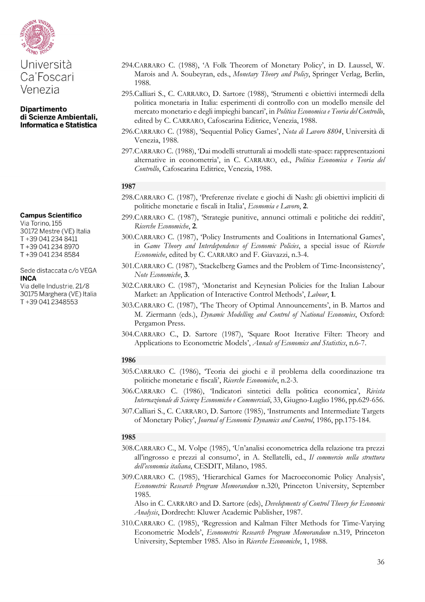

# Ca'Foscari Venezia

**Dipartimento** di Scienze Ambientali, Informatica e Statistica

#### **Campus Scientifico**

Via Torino, 155 30172 Mestre (VE) Italia T+39 041 234 8411 T+39 041 234 8970 T+39 041 234 8584

#### Sede distaccata c/o VEGA **INCA**

Via delle Industrie, 21/8 30175 Marghera (VE) Italia T+39 041 2348553

- 294.CARRARO C. (1988), 'A Folk Theorem of Monetary Policy', in D. Laussel, W. Marois and A. Soubeyran, eds., *Monetary Theory and Policy*, Springer Verlag, Berlin, 1988.
- 295.Calliari S., C. CARRARO, D. Sartore (1988), 'Strumenti e obiettivi intermedi della politica monetaria in Italia: esperimenti di controllo con un modello mensile del mercato monetario e degli impieghi bancari', in *Politica Economica e Teoria del Controllo*, edited by C. CARRARO, Cafoscarina Editrice, Venezia, 1988.
- 296.CARRARO C. (1988), 'Sequential Policy Games', *Nota di Lavoro 8804*, Università di Venezia, 1988.
- 297.CARRARO C. (1988), 'Dai modelli strutturali ai modelli state-space: rappresentazioni alternative in econometria', in C. CARRARO, ed., *Politica Economica e Teoria del Controllo*, Cafoscarina Editrice, Venezia, 1988.

#### **1987**

- 298.CARRARO C. (1987), 'Preferenze rivelate e giochi di Nash: gli obiettivi impliciti di politiche monetarie e fiscali in Italia', *Economia e Lavoro*, **2**.
- 299.CARRARO C. (1987), 'Strategie punitive, annunci ottimali e politiche dei redditi', *Ricerche Economiche*, **2**.
- 300.CARRARO C. (1987), 'Policy Instruments and Coalitions in International Games', in *Game Theory and Interdependence of Economic Policies*, a special issue of *Ricerche Economiche*, edited by C. CARRARO and F. Giavazzi, n.3-4.
- 301.CARRARO C. (1987), 'Stackelberg Games and the Problem of Time-Inconsistency', *Note Economiche*, **3**.
- 302.CARRARO C. (1987), 'Monetarist and Keynesian Policies for the Italian Labour Market: an Application of Interactive Control Methods', *Labour*, **1**.
- 303.CARRARO C. (1987), 'The Theory of Optimal Announcements', in B. Martos and M. Ziermann (eds.), *Dynamic Modelling and Control of National Economies*, Oxford: Pergamon Press.
- 304.CARRARO C., D. Sartore (1987), 'Square Root Iterative Filter: Theory and Applications to Econometric Models', *Annals of Economics and Statistics*, n.6-7.

#### **1986**

- 305.CARRARO C. (1986), 'Teoria dei giochi e il problema della coordinazione tra politiche monetarie e fiscali', *Ricerche Economiche*, n.2-3.
- 306.CARRARO C. (1986), 'Indicatori sintetici della politica economica', *Rivista Internazionale di Scienze Economiche e Commerciali*, 33, Giugno-Luglio 1986, pp.629-656.
- 307.Calliari S., C. CARRARO, D. Sartore (1985), 'Instruments and Intermediate Targets of Monetary Policy', *Journal of Economic Dynamics and Control*, 1986, pp.175-184.

#### **1985**

- 308.CARRARO C., M. Volpe (1985), 'Un'analisi econometrica della relazione tra prezzi all'ingrosso e prezzi al consumo', in A. Stellatelli, ed., *Il commercio nella struttura dell'economia italiana*, CESDIT, Milano, 1985.
- 309.CARRARO C. (1985), 'Hierarchical Games for Macroeconomic Policy Analysis', *Econometric Research Program Memorandum* n.320, Princeton University, September 1985.

Also in C. CARRARO and D. Sartore (eds), *Developments of Control Theory for Economic Analysis*, Dordrecht: Kluwer Academic Publisher, 1987.

310.CARRARO C. (1985), 'Regression and Kalman Filter Methods for Time-Varying Econometric Models', *Econometric Research Program Memorandum* n.319, Princeton University, September 1985. Also in *Ricerche Economiche*, 1, 1988.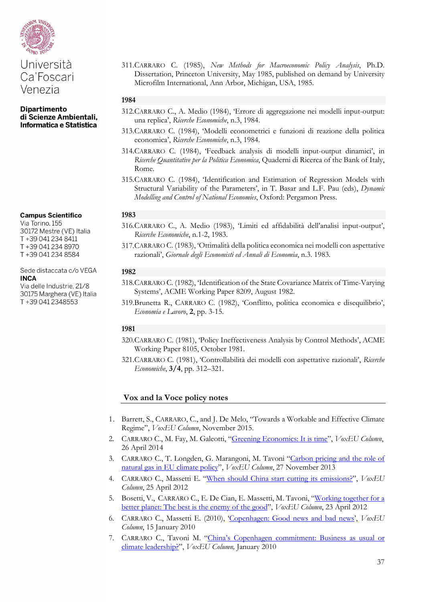

**Dipartimento** di Scienze Ambientali, Informatica e Statistica

**Campus Scientifico** 

Via Torino, 155 30172 Mestre (VE) Italia T+39 041 234 8411 T+39 041 234 8970 T+39 041 234 8584

Sede distaccata c/o VEGA **INCA** 

Via delle Industrie, 21/8 30175 Marghera (VE) Italia T+39 041 2348553

311.CARRARO C. (1985), *New Methods for Macroeconomic Policy Analysis*, Ph.D. Dissertation, Princeton University, May 1985, published on demand by University Microfilm International, Ann Arbor, Michigan, USA, 1985.

## **1984**

- 312.CARRARO C., A. Medio (1984), 'Errore di aggregazione nei modelli input-output: una replica', *Ricerche Economiche*, n.3, 1984.
- 313.CARRARO C. (1984), 'Modelli econometrici e funzioni di reazione della politica economica', *Ricerche Economiche*, n.3, 1984.
- 314.CARRARO C. (1984), 'Feedback analysis di modelli input-output dinamici', in *Ricerche Quantitative per la Politica Economica*, Quaderni di Ricerca of the Bank of Italy, Rome.
- 315.CARRARO C. (1984), 'Identification and Estimation of Regression Models with Structural Variability of the Parameters', in T. Basar and L.F. Pau (eds), *Dynamic Modelling and Control of National Economies*, Oxford: Pergamon Press.

# **1983**

- 316.CARRARO C., A. Medio (1983), 'Limiti ed affidabilità dell'analisi input-output', *Ricerche Economiche*, n.1-2, 1983.
- 317.CARRARO C. (1983), 'Ottimalità della politica economica nei modelli con aspettative razionali', *Giornale degli Economisti ed Annali di Economia*, n.3. 1983.

#### **1982**

- 318.CARRARO C. (1982), 'Identification of the State Covariance Matrix of Time-Varying Systems', ACME Working Paper 8209, August 1982.
- 319.Brunetta R., CARRARO C. (1982), 'Conflitto, politica economica e disequilibrio', *Economia e Lavoro*, **2**, pp. 3-15.

#### **1981**

- 320.CARRARO C. (1981), 'Policy Ineffectiveness Analysis by Control Methods', ACME Working Paper 8105, October 1981.
- 321.CARRARO C. (1981), 'Controllabilità dei modelli con aspettative razionali', *Ricerche Economiche*, **3/4**, pp. 312–321.

# **Vox and la Voce policy notes**

- 1. Barrett, S., CARRARO, C., and J. De Melo, "Towards a Workable and Effective Climate Regime", *VoxEU Column*, November 2015.
- 2. CARRARO C., M. Fay, M. Galeotti, "Greening [Economics:](http://www.voxeu.org/article/greening-economics-it-time) It is time", *VoxEU Column*, 26 April 2014
- 3. CARRARO C., T. Longden, G. Marangoni, M. Tavoni ["Carbon](http://www.voxeu.org/article/carbon-pricing-and-role-natural-gas-eu-climate-policy) pricing and the role of natural gas in EU [climate](http://www.voxeu.org/article/carbon-pricing-and-role-natural-gas-eu-climate-policy) policy", *VoxEU Column*, 27 November 2013
- 4. CARRARO C., Massetti E. "When should China start cutting its [emissions?"](http://www.voxeu.org/article/when-should-china-start-cutting-its-emissions), *VoxEU Column*, 25 April 2012
- 5. Bosetti, V., CARRARO C., E. De Cian, E. Massetti, M. Tavoni, ["Working](http://www.voxeu.org/article/working-together-better-planet-best-enemy-good) together for a better [planet:](http://www.voxeu.org/article/working-together-better-planet-best-enemy-good) The best is the enemy of the good", *VoxEU Column*, 23 April 2012
- 6. CARRARO C., Massetti E. (2010), ['Copenhagen:](http://www.voxeu.org/article/copenhagen-good-news-and-bad-news) Good news and bad news', *VoxEU Column*, 15 January 2010
- 7. CARRARO C., Tavoni M. "China's Copenhagen [commitment:](http://www.voxeu.org/article/china-s-copenhagen-commitment-business-usual-or-climate-leadership) Business as usual or climate [leadership?"](http://www.voxeu.org/article/china-s-copenhagen-commitment-business-usual-or-climate-leadership), *VoxEU Column,* January 2010